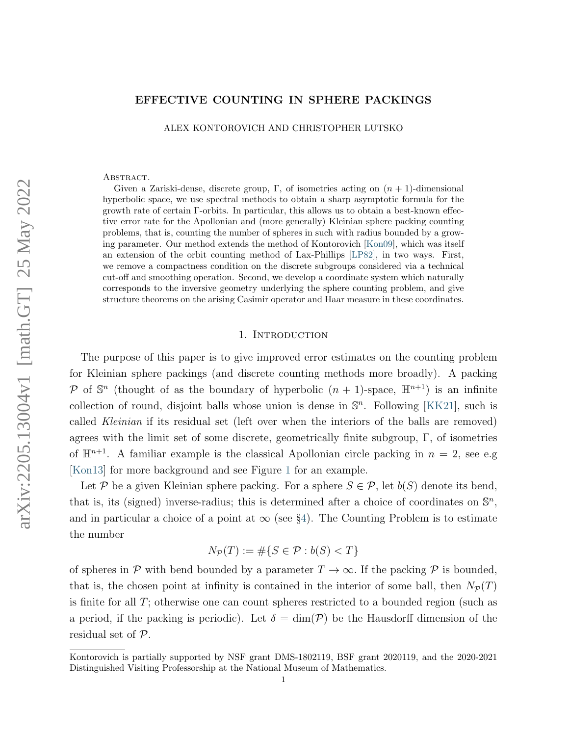## EFFECTIVE COUNTING IN SPHERE PACKINGS

ALEX KONTOROVICH AND CHRISTOPHER LUTSKO

#### ABSTRACT.

Given a Zariski-dense, discrete group, Γ, of isometries acting on  $(n + 1)$ -dimensional hyperbolic space, we use spectral methods to obtain a sharp asymptotic formula for the growth rate of certain Γ-orbits. In particular, this allows us to obtain a best-known effective error rate for the Apollonian and (more generally) Kleinian sphere packing counting problems, that is, counting the number of spheres in such with radius bounded by a growing parameter. Our method extends the method of Kontorovich [\[Kon09\]](#page-37-0), which was itself an extension of the orbit counting method of Lax-Phillips [\[LP82\]](#page-37-1), in two ways. First, we remove a compactness condition on the discrete subgroups considered via a technical cut-off and smoothing operation. Second, we develop a coordinate system which naturally corresponds to the inversive geometry underlying the sphere counting problem, and give structure theorems on the arising Casimir operator and Haar measure in these coordinates.

#### 1. Introduction

The purpose of this paper is to give improved error estimates on the counting problem for Kleinian sphere packings (and discrete counting methods more broadly). A packing P of  $\mathbb{S}^n$  (thought of as the boundary of hyperbolic  $(n + 1)$ -space,  $\mathbb{H}^{n+1}$ ) is an infinite collection of round, disjoint balls whose union is dense in  $\mathbb{S}^n$ . Following [\[KK21\]](#page-36-0), such is called Kleinian if its residual set (left over when the interiors of the balls are removed) agrees with the limit set of some discrete, geometrically finite subgroup, Γ, of isometries of  $\mathbb{H}^{n+1}$ . A familiar example is the classical Apollonian circle packing in  $n = 2$ , see e.g [\[Kon13\]](#page-37-2) for more background and see Figure [1](#page-1-0) for an example.

Let P be a given Kleinian sphere packing. For a sphere  $S \in \mathcal{P}$ , let  $b(S)$  denote its bend, that is, its (signed) inverse-radius; this is determined after a choice of coordinates on  $\mathbb{S}^n$ , and in particular a choice of a point at  $\infty$  (see §[4\)](#page-15-0). The Counting Problem is to estimate the number

$$
N_{\mathcal{P}}(T) := \# \{ S \in \mathcal{P} : b(S) < T \}
$$

of spheres in P with bend bounded by a parameter  $T \to \infty$ . If the packing P is bounded, that is, the chosen point at infinity is contained in the interior of some ball, then  $N_{\mathcal{P}}(T)$ is finite for all T; otherwise one can count spheres restricted to a bounded region (such as a period, if the packing is periodic). Let  $\delta = \dim(\mathcal{P})$  be the Hausdorff dimension of the residual set of P.

Kontorovich is partially supported by NSF grant DMS-1802119, BSF grant 2020119, and the 2020-2021 Distinguished Visiting Professorship at the National Museum of Mathematics.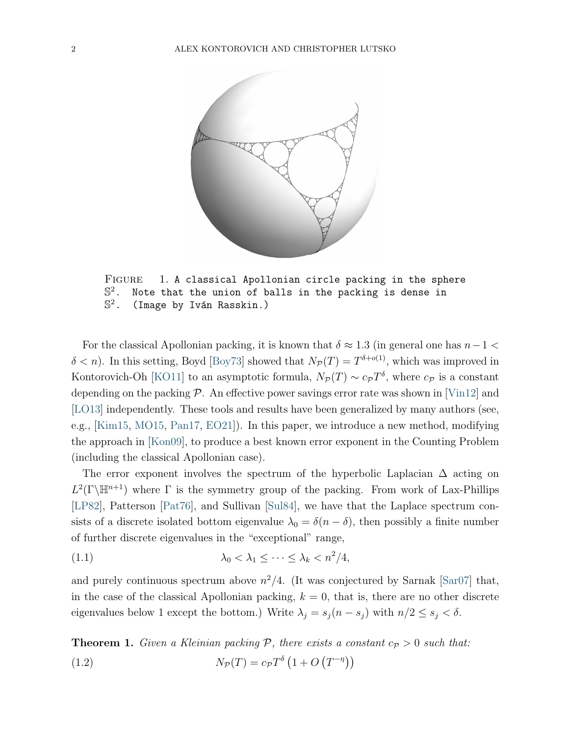

<span id="page-1-0"></span>FIGURE 1. A classical Apollonian circle packing in the sphere  $\mathbb{S}^2$ . Note that the union of balls in the packing is dense in  $\mathbb{S}^2$ . (Image by Iván Rasskin.)

For the classical Apollonian packing, it is known that  $\delta \approx 1.3$  (in general one has  $n-1 <$  $\delta < n$ ). In this setting, Boyd [\[Boy73\]](#page-36-1) showed that  $N_p(T) = T^{\delta+o(1)}$ , which was improved in Kontorovich-Oh [\[KO11\]](#page-36-2) to an asymptotic formula,  $N_P(T) \sim c_P T^{\delta}$ , where  $c_P$  is a constant depending on the packing  $P$ . An effective power savings error rate was shown in [\[Vin12\]](#page-37-3) and [\[LO13\]](#page-37-4) independently. These tools and results have been generalized by many authors (see, e.g., [\[Kim15,](#page-36-3) [MO15,](#page-37-5) [Pan17,](#page-37-6) [EO21\]](#page-36-4)). In this paper, we introduce a new method, modifying the approach in [\[Kon09\]](#page-37-0), to produce a best known error exponent in the Counting Problem (including the classical Apollonian case).

The error exponent involves the spectrum of the hyperbolic Laplacian  $\Delta$  acting on  $L^2(\Gamma\backslash\mathbb{H}^{n+1})$  where  $\Gamma$  is the symmetry group of the packing. From work of Lax-Phillips [\[LP82\]](#page-37-1), Patterson [\[Pat76\]](#page-37-7), and Sullivan [\[Sul84\]](#page-37-8), we have that the Laplace spectrum consists of a discrete isolated bottom eigenvalue  $\lambda_0 = \delta(n - \delta)$ , then possibly a finite number of further discrete eigenvalues in the "exceptional" range,

<span id="page-1-2"></span>
$$
\lambda_0 < \lambda_1 \leq \cdots \leq \lambda_k < n^2/4,
$$

and purely continuous spectrum above  $n^2/4$ . (It was conjectured by Sarnak [\[Sar07\]](#page-37-9) that, in the case of the classical Apollonian packing,  $k = 0$ , that is, there are no other discrete eigenvalues below 1 except the bottom.) Write  $\lambda_j = s_j(n - s_j)$  with  $n/2 \le s_j < \delta$ .

<span id="page-1-1"></span>**Theorem 1.** Given a Kleinian packing P, there exists a constant  $c_p > 0$  such that: (1.2)  $N_{\mathcal{P}}(T) = c_{\mathcal{P}} T^{\delta} (1 + O (T^{-\eta}))$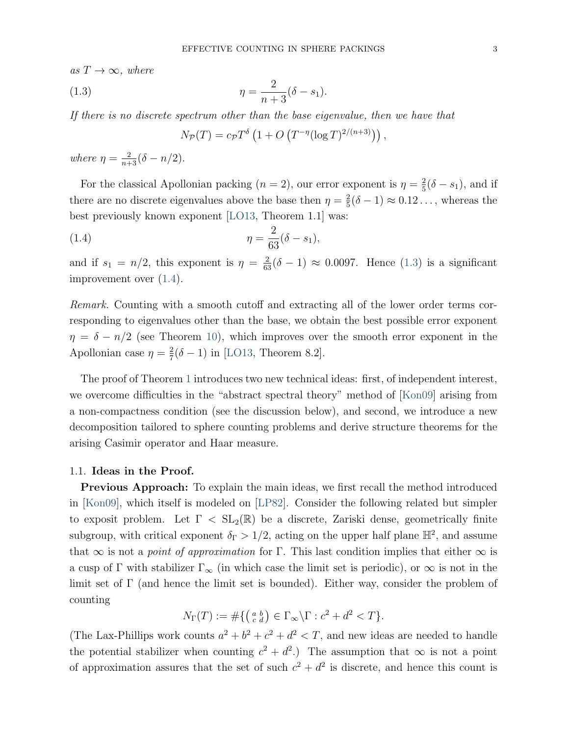as  $T \to \infty$ , where

(1.3) 
$$
\eta = \frac{2}{n+3}(\delta - s_1).
$$

If there is no discrete spectrum other than the base eigenvalue, then we have that

<span id="page-2-1"></span><span id="page-2-0"></span>
$$
N_{\mathcal{P}}(T) = c_{\mathcal{P}} T^{\delta} \left( 1 + O \left( T^{-\eta} (\log T)^{2/(n+3)} \right) \right),
$$

where  $\eta = \frac{2}{n+3}(\delta - n/2)$ .

For the classical Apollonian packing  $(n = 2)$ , our error exponent is  $\eta = \frac{2}{5}$  $\frac{2}{5}(\delta - s_1)$ , and if there are no discrete eigenvalues above the base then  $\eta = \frac{2}{5}$  $\frac{2}{5}(\delta - 1) \approx 0.12 \ldots$ , whereas the best previously known exponent [\[LO13,](#page-37-4) Theorem 1.1] was:

(1.4) 
$$
\eta = \frac{2}{63}(\delta - s_1),
$$

and if  $s_1 = n/2$ , this exponent is  $\eta = \frac{2}{63}(\delta - 1) \approx 0.0097$ . Hence [\(1.3\)](#page-2-0) is a significant improvement over [\(1.4\)](#page-2-1).

Remark. Counting with a smooth cutoff and extracting all of the lower order terms corresponding to eigenvalues other than the base, we obtain the best possible error exponent  $\eta = \delta - n/2$  (see Theorem [10\)](#page-27-0), which improves over the smooth error exponent in the Apollonian case  $\eta = \frac{2}{7}$  $\frac{2}{7}(\delta - 1)$  in [\[LO13,](#page-37-4) Theorem 8.2].

The proof of Theorem [1](#page-1-1) introduces two new technical ideas: first, of independent interest, we overcome difficulties in the "abstract spectral theory" method of [\[Kon09\]](#page-37-0) arising from a non-compactness condition (see the discussion below), and second, we introduce a new decomposition tailored to sphere counting problems and derive structure theorems for the arising Casimir operator and Haar measure.

## 1.1. Ideas in the Proof.

Previous Approach: To explain the main ideas, we first recall the method introduced in [\[Kon09\]](#page-37-0), which itself is modeled on [\[LP82\]](#page-37-1). Consider the following related but simpler to exposit problem. Let  $\Gamma < SL_2(\mathbb{R})$  be a discrete, Zariski dense, geometrically finite subgroup, with critical exponent  $\delta_{\Gamma} > 1/2$ , acting on the upper half plane  $\mathbb{H}^2$ , and assume that  $\infty$  is not a *point of approximation* for Γ. This last condition implies that either  $\infty$  is a cusp of  $\Gamma$  with stabilizer  $\Gamma_\infty$  (in which case the limit set is periodic), or  $\infty$  is not in the limit set of  $\Gamma$  (and hence the limit set is bounded). Either way, consider the problem of counting

$$
N_{\Gamma}(T) := \# \{ \left( \begin{smallmatrix} a & b \\ c & d \end{smallmatrix} \right) \in \Gamma_{\infty} \backslash \Gamma : c^2 + d^2 < T \}.
$$

(The Lax-Phillips work counts  $a^2 + b^2 + c^2 + d^2 < T$ , and new ideas are needed to handle the potential stabilizer when counting  $c^2 + d^2$ .) The assumption that  $\infty$  is not a point of approximation assures that the set of such  $c^2 + d^2$  is discrete, and hence this count is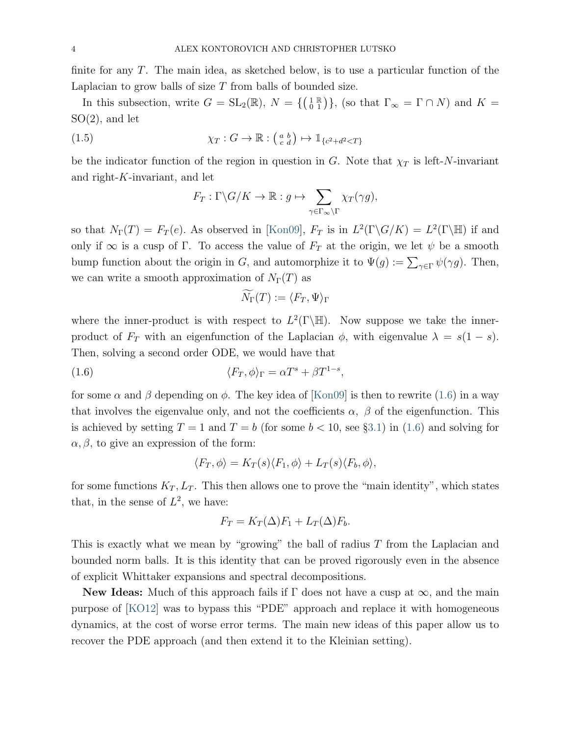finite for any  $T$ . The main idea, as sketched below, is to use a particular function of the Laplacian to grow balls of size  $T$  from balls of bounded size.

In this subsection, write  $G = SL_2(\mathbb{R})$ ,  $N = \{(\begin{smallmatrix} 1 & \mathbb{R} \\ 0 & 1 \end{smallmatrix})\}$ , (so that  $\Gamma_{\infty} = \Gamma \cap N$ ) and  $K =$ SO(2), and let

(1.5) 
$$
\chi_T: G \to \mathbb{R}: \left(\begin{smallmatrix} a & b \\ c & d \end{smallmatrix}\right) \mapsto \mathbb{1}_{\{c^2+d^2 < T\}}
$$

be the indicator function of the region in question in G. Note that  $\chi_T$  is left-N-invariant and right-K-invariant, and let

<span id="page-3-1"></span>
$$
F_T: \Gamma \backslash G / K \to \mathbb{R}: g \mapsto \sum_{\gamma \in \Gamma_{\infty} \backslash \Gamma} \chi_T(\gamma g),
$$

so that  $N_{\Gamma}(T) = F_T(e)$ . As observed in [\[Kon09\]](#page-37-0),  $F_T$  is in  $L^2(\Gamma \backslash G/K) = L^2(\Gamma \backslash \mathbb{H})$  if and only if  $\infty$  is a cusp of Γ. To access the value of  $F_T$  at the origin, we let  $\psi$  be a smooth bump function about the origin in G, and automorphize it to  $\Psi(g) := \sum_{\gamma \in \Gamma} \psi(\gamma g)$ . Then, we can write a smooth approximation of  $N_{\Gamma}(T)$  as

$$
N_{\Gamma}(T) := \langle F_T, \Psi \rangle_{\Gamma}
$$

where the inner-product is with respect to  $L^2(\Gamma \backslash \mathbb{H})$ . Now suppose we take the innerproduct of  $F_T$  with an eigenfunction of the Laplacian  $\phi$ , with eigenvalue  $\lambda = s(1-s)$ . Then, solving a second order ODE, we would have that

<span id="page-3-0"></span>(1.6) 
$$
\langle F_T, \phi \rangle_{\Gamma} = \alpha T^s + \beta T^{1-s},
$$

for some  $\alpha$  and  $\beta$  depending on  $\phi$ . The key idea of [\[Kon09\]](#page-37-0) is then to rewrite [\(1.6\)](#page-3-0) in a way that involves the eigenvalue only, and not the coefficients  $\alpha$ ,  $\beta$  of the eigenfunction. This is achieved by setting  $T = 1$  and  $T = b$  (for some  $b < 10$ , see §[3.1\)](#page-9-0) in [\(1.6\)](#page-3-0) and solving for  $\alpha, \beta$ , to give an expression of the form:

$$
\langle F_T, \phi \rangle = K_T(s) \langle F_1, \phi \rangle + L_T(s) \langle F_b, \phi \rangle,
$$

for some functions  $K_T$ ,  $L_T$ . This then allows one to prove the "main identity", which states that, in the sense of  $L^2$ , we have:

$$
F_T = K_T(\Delta)F_1 + L_T(\Delta)F_b.
$$

This is exactly what we mean by "growing" the ball of radius T from the Laplacian and bounded norm balls. It is this identity that can be proved rigorously even in the absence of explicit Whittaker expansions and spectral decompositions.

**New Ideas:** Much of this approach fails if  $\Gamma$  does not have a cusp at  $\infty$ , and the main purpose of [\[KO12\]](#page-36-5) was to bypass this "PDE" approach and replace it with homogeneous dynamics, at the cost of worse error terms. The main new ideas of this paper allow us to recover the PDE approach (and then extend it to the Kleinian setting).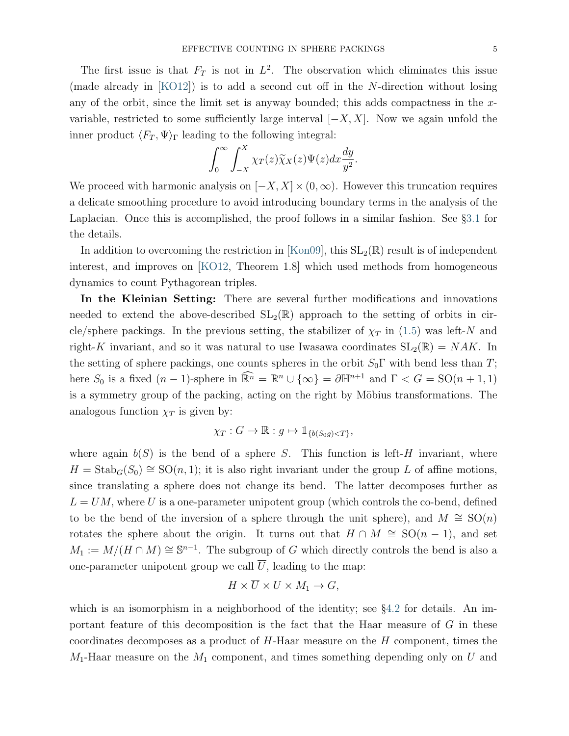The first issue is that  $F_T$  is not in  $L^2$ . The observation which eliminates this issue (made already in [\[KO12\]](#page-36-5)) is to add a second cut off in the N-direction without losing any of the orbit, since the limit set is anyway bounded; this adds compactness in the  $x$ variable, restricted to some sufficiently large interval  $[-X, X]$ . Now we again unfold the inner product  $\langle F_T , \Psi \rangle_{\Gamma}$  leading to the following integral:

$$
\int_0^\infty \int_{-X}^X \chi_T(z) \widetilde{\chi}_X(z) \Psi(z) dx \frac{dy}{y^2}.
$$

We proceed with harmonic analysis on  $[-X, X] \times (0, \infty)$ . However this truncation requires a delicate smoothing procedure to avoid introducing boundary terms in the analysis of the Laplacian. Once this is accomplished, the proof follows in a similar fashion. See §[3.1](#page-9-0) for the details.

In addition to overcoming the restriction in [\[Kon09\]](#page-37-0), this  $SL_2(\mathbb{R})$  result is of independent interest, and improves on [\[KO12,](#page-36-5) Theorem 1.8] which used methods from homogeneous dynamics to count Pythagorean triples.

In the Kleinian Setting: There are several further modifications and innovations needed to extend the above-described  $SL_2(\mathbb{R})$  approach to the setting of orbits in circle/sphere packings. In the previous setting, the stabilizer of  $\chi_T$  in [\(1.5\)](#page-3-1) was left-N and right-K invariant, and so it was natural to use Iwasawa coordinates  $SL_2(\mathbb{R}) = NAK$ . In the setting of sphere packings, one counts spheres in the orbit  $S_0\Gamma$  with bend less than T; here  $S_0$  is a fixed  $(n-1)$ -sphere in  $\widehat{\mathbb{R}^n} = \mathbb{R}^n \cup {\infty} = \partial \mathbb{H}^{n+1}$  and  $\Gamma < G = SO(n+1, 1)$ is a symmetry group of the packing, acting on the right by Möbius transformations. The analogous function  $\chi_T$  is given by:

$$
\chi_T: G \to \mathbb{R}: g \mapsto \mathbb{1}_{\{b(S_0 g) < T\}},
$$

where again  $b(S)$  is the bend of a sphere S. This function is left-H invariant, where  $H = \text{Stab}_G(S_0) \cong \text{SO}(n, 1);$  it is also right invariant under the group L of affine motions, since translating a sphere does not change its bend. The latter decomposes further as  $L = UM$ , where U is a one-parameter unipotent group (which controls the co-bend, defined to be the bend of the inversion of a sphere through the unit sphere), and  $M \cong SO(n)$ rotates the sphere about the origin. It turns out that  $H \cap M \cong SO(n-1)$ , and set  $M_1 := M/(H \cap M) \cong \mathbb{S}^{n-1}$ . The subgroup of G which directly controls the bend is also a one-parameter unipotent group we call  $\overline{U}$ , leading to the map:

$$
H \times \overline{U} \times U \times M_1 \to G,
$$

which is an isomorphism in a neighborhood of the identity; see  $\S 4.2$  $\S 4.2$  for details. An important feature of this decomposition is the fact that the Haar measure of G in these coordinates decomposes as a product of  $H$ -Haar measure on the  $H$  component, times the  $M_1$ -Haar measure on the  $M_1$  component, and times something depending only on U and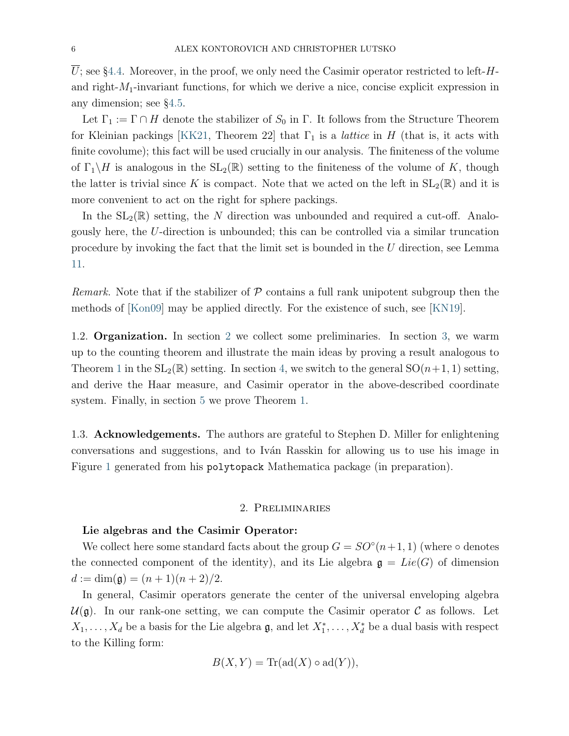$\overline{U}$ ; see §[4.4.](#page-19-0) Moreover, in the proof, we only need the Casimir operator restricted to left-Hand right- $M_1$ -invariant functions, for which we derive a nice, concise explicit expression in any dimension; see §[4.5.](#page-23-0)

Let  $\Gamma_1 := \Gamma \cap H$  denote the stabilizer of  $S_0$  in  $\Gamma$ . It follows from the Structure Theorem for Kleinian packings [\[KK21,](#page-36-0) Theorem 22] that  $\Gamma_1$  is a *lattice* in H (that is, it acts with finite covolume); this fact will be used crucially in our analysis. The finiteness of the volume of  $\Gamma_1 \backslash H$  is analogous in the  $SL_2(\mathbb{R})$  setting to the finiteness of the volume of K, though the latter is trivial since K is compact. Note that we acted on the left in  $SL_2(\mathbb{R})$  and it is more convenient to act on the right for sphere packings.

In the  $SL_2(\mathbb{R})$  setting, the N direction was unbounded and required a cut-off. Analogously here, the U-direction is unbounded; this can be controlled via a similar truncation procedure by invoking the fact that the limit set is bounded in the U direction, see Lemma [11.](#page-27-1)

Remark. Note that if the stabilizer of  $P$  contains a full rank unipotent subgroup then the methods of [\[Kon09\]](#page-37-0) may be applied directly. For the existence of such, see [\[KN19\]](#page-36-6).

1.2. Organization. In section [2](#page-5-0) we collect some preliminaries. In section [3,](#page-7-0) we warm up to the counting theorem and illustrate the main ideas by proving a result analogous to Theorem [1](#page-1-1) in the  $SL_2(\mathbb{R})$  setting. In section [4,](#page-15-0) we switch to the general  $SO(n+1, 1)$  setting, and derive the Haar measure, and Casimir operator in the above-described coordinate system. Finally, in section [5](#page-25-0) we prove Theorem [1.](#page-1-1)

1.3. **Acknowledgements.** The authors are grateful to Stephen D. Miller for enlightening conversations and suggestions, and to Iv´an Rasskin for allowing us to use his image in Figure [1](#page-1-0) generated from his polytopack Mathematica package (in preparation).

#### 2. Preliminaries

## <span id="page-5-0"></span>Lie algebras and the Casimir Operator:

We collect here some standard facts about the group  $G = SO^{\circ}(n+1, 1)$  (where  $\circ$  denotes the connected component of the identity), and its Lie algebra  $\mathfrak{g} = Lie(G)$  of dimension  $d := \dim(\mathfrak{g}) = (n+1)(n+2)/2.$ 

In general, Casimir operators generate the center of the universal enveloping algebra  $\mathcal{U}(\mathfrak{g})$ . In our rank-one setting, we can compute the Casimir operator C as follows. Let  $X_1, \ldots, X_d$  be a basis for the Lie algebra  $\mathfrak{g}$ , and let  $X_1^*, \ldots, X_d^*$  be a dual basis with respect to the Killing form:

$$
B(X, Y) = \text{Tr}(\text{ad}(X) \circ \text{ad}(Y)),
$$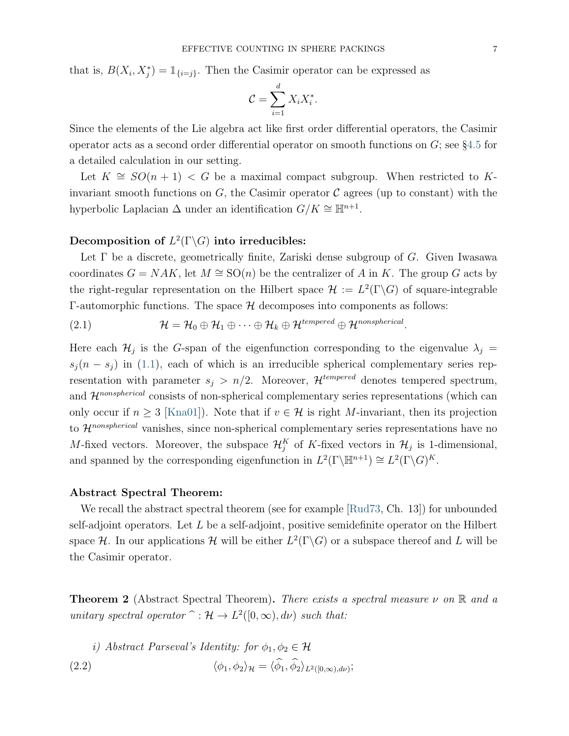that is,  $B(X_i, X_j^*) = \mathbb{1}_{\{i=j\}}$ . Then the Casimir operator can be expressed as

$$
\mathcal{C} = \sum_{i=1}^d X_i X_i^*.
$$

Since the elements of the Lie algebra act like first order differential operators, the Casimir operator acts as a second order differential operator on smooth functions on  $G$ ; see §[4.5](#page-23-0) for a detailed calculation in our setting.

Let  $K \cong SO(n+1) < G$  be a maximal compact subgroup. When restricted to Kinvariant smooth functions on  $G$ , the Casimir operator  $\mathcal C$  agrees (up to constant) with the hyperbolic Laplacian  $\Delta$  under an identification  $G/K \cong \mathbb{H}^{n+1}$ .

# Decomposition of  $L^2(\Gamma \backslash G)$  into irreducibles:

Let  $\Gamma$  be a discrete, geometrically finite, Zariski dense subgroup of G. Given Iwasawa coordinates  $G = NAK$ , let  $M \cong SO(n)$  be the centralizer of A in K. The group G acts by the right-regular representation on the Hilbert space  $\mathcal{H} := L^2(\Gamma \backslash G)$  of square-integrable Γ-automorphic functions. The space  $H$  decomposes into components as follows:

(2.1) 
$$
\mathcal{H} = \mathcal{H}_0 \oplus \mathcal{H}_1 \oplus \cdots \oplus \mathcal{H}_k \oplus \mathcal{H}^{tempered} \oplus \mathcal{H}^{nonspherical}.
$$

Here each  $\mathcal{H}_j$  is the G-span of the eigenfunction corresponding to the eigenvalue  $\lambda_j =$  $s_i(n - s_i)$  in [\(1.1\)](#page-1-2), each of which is an irreducible spherical complementary series representation with parameter  $s_j > n/2$ . Moreover,  $\mathcal{H}^{tempered}$  denotes tempered spectrum, and  $\mathcal{H}^{nonspherical}$  consists of non-spherical complementary series representations (which can only occur if  $n \geq 3$  [\[Kna01\]](#page-36-7)). Note that if  $v \in \mathcal{H}$  is right M-invariant, then its projection to  $\mathcal{H}^{nonspherical}$  vanishes, since non-spherical complementary series representations have no M-fixed vectors. Moreover, the subspace  $\mathcal{H}_j^K$  of K-fixed vectors in  $\mathcal{H}_j$  is 1-dimensional, and spanned by the corresponding eigenfunction in  $L^2(\Gamma \backslash \mathbb{H}^{n+1}) \cong L^2(\Gamma \backslash G)^K$ .

## Abstract Spectral Theorem:

We recall the abstract spectral theorem (see for example [\[Rud73,](#page-37-10) Ch. 13]) for unbounded self-adjoint operators. Let  $L$  be a self-adjoint, positive semidefinite operator on the Hilbert space H. In our applications H will be either  $L^2(\Gamma \backslash G)$  or a subspace thereof and L will be the Casimir operator.

**Theorem 2** (Abstract Spectral Theorem). There exists a spectral measure  $\nu$  on  $\mathbb R$  and a unitary spectral operator  $\hat{} : \mathcal{H} \to L^2([0,\infty), d\nu)$  such that:

<span id="page-6-0"></span>\n- i) Abstract Parseval's Identity: for 
$$
\phi_1, \phi_2 \in \mathcal{H}
$$
\n- (2.2)  $\langle \phi_1, \phi_2 \rangle_{\mathcal{H}} = \langle \widehat{\phi}_1, \widehat{\phi}_2 \rangle_{L^2([0,\infty),d\nu)}$ ;
\n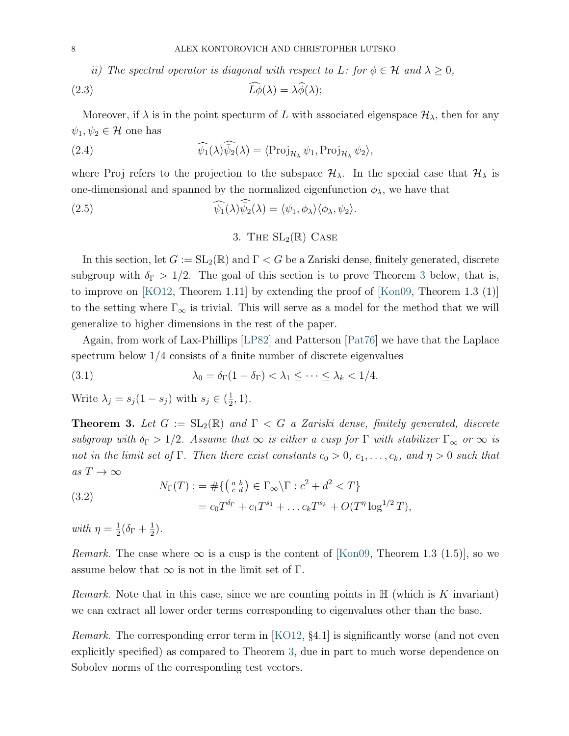ii) The spectral operator is diagonal with respect to L: for  $\phi \in \mathcal{H}$  and  $\lambda \geq 0$ ,

(2.3) 
$$
\tilde{L}\dot{\phi}(\lambda) = \lambda \tilde{\phi}(\lambda);
$$

Moreover, if  $\lambda$  is in the point specturm of L with associated eigenspace  $\mathcal{H}_{\lambda}$ , then for any  $\psi_1, \psi_2 \in \mathcal{H}$  one has

(2.4) 
$$
\widehat{\psi_1}(\lambda)\widehat{\psi_2}(\lambda) = \langle \operatorname{Proj}_{\mathcal{H}_{\lambda}} \psi_1, \operatorname{Proj}_{\mathcal{H}_{\lambda}} \psi_2 \rangle,
$$

where Proj refers to the projection to the subspace  $\mathcal{H}_{\lambda}$ . In the special case that  $\mathcal{H}_{\lambda}$  is one-dimensional and spanned by the normalized eigenfunction  $\phi_{\lambda}$ , we have that

(2.5) 
$$
\widehat{\psi_1}(\lambda)\overline{\psi_2}(\lambda) = \langle \psi_1, \phi_\lambda \rangle \langle \phi_\lambda, \psi_2 \rangle.
$$

# 3. THE  $SL_2(\mathbb{R})$  CASE

<span id="page-7-0"></span>In this section, let  $G := SL_2(\mathbb{R})$  and  $\Gamma < G$  be a Zariski dense, finitely generated, discrete subgroup with  $\delta_{\Gamma} > 1/2$ . The goal of this section is to prove Theorem [3](#page-7-1) below, that is, to improve on [\[KO12,](#page-36-5) Theorem 1.11] by extending the proof of [\[Kon09,](#page-37-0) Theorem 1.3 (1)] to the setting where  $\Gamma_{\infty}$  is trivial. This will serve as a model for the method that we will generalize to higher dimensions in the rest of the paper.

Again, from work of Lax-Phillips [\[LP82\]](#page-37-1) and Patterson [\[Pat76\]](#page-37-7) we have that the Laplace spectrum below 1/4 consists of a finite number of discrete eigenvalues

(3.1) 
$$
\lambda_0 = \delta_\Gamma(1 - \delta_\Gamma) < \lambda_1 \leq \cdots \leq \lambda_k < 1/4.
$$

Write  $\lambda_j = s_j(1-s_j)$  with  $s_j \in (\frac{1}{2})$  $(\frac{1}{2}, 1).$ 

<span id="page-7-1"></span>**Theorem 3.** Let  $G := SL_2(\mathbb{R})$  and  $\Gamma < G$  a Zariski dense, finitely generated, discrete subgroup with  $\delta_{\Gamma} > 1/2$ . Assume that  $\infty$  is either a cusp for  $\Gamma$  with stabilizer  $\Gamma_{\infty}$  or  $\infty$  is not in the limit set of  $\Gamma$ . Then there exist constants  $c_0 > 0$ ,  $c_1, \ldots, c_k$ , and  $\eta > 0$  such that as  $T \to \infty$ 

<span id="page-7-2"></span>(3.2) 
$$
N_{\Gamma}(T) := \# \{ \left( \begin{array}{c} a & b \\ c & d \end{array} \right) \in \Gamma_{\infty} \backslash \Gamma : c^2 + d^2 < T \} = c_0 T^{\delta_{\Gamma}} + c_1 T^{s_1} + \dots c_k T^{s_k} + O(T^{\eta} \log^{1/2} T),
$$

with  $\eta = \frac{1}{2}$  $\frac{1}{2}(\delta_{\Gamma} + \frac{1}{2})$  $\frac{1}{2}$ .

*Remark.* The case where  $\infty$  is a cusp is the content of [\[Kon09,](#page-37-0) Theorem 1.3 (1.5)], so we assume below that  $\infty$  is not in the limit set of  $\Gamma$ .

*Remark.* Note that in this case, since we are counting points in  $\mathbb{H}$  (which is K invariant) we can extract all lower order terms corresponding to eigenvalues other than the base.

*Remark.* The corresponding error term in [\[KO12,](#page-36-5)  $\S 4.1$ ] is significantly worse (and not even explicitly specified) as compared to Theorem [3,](#page-7-1) due in part to much worse dependence on Sobolev norms of the corresponding test vectors.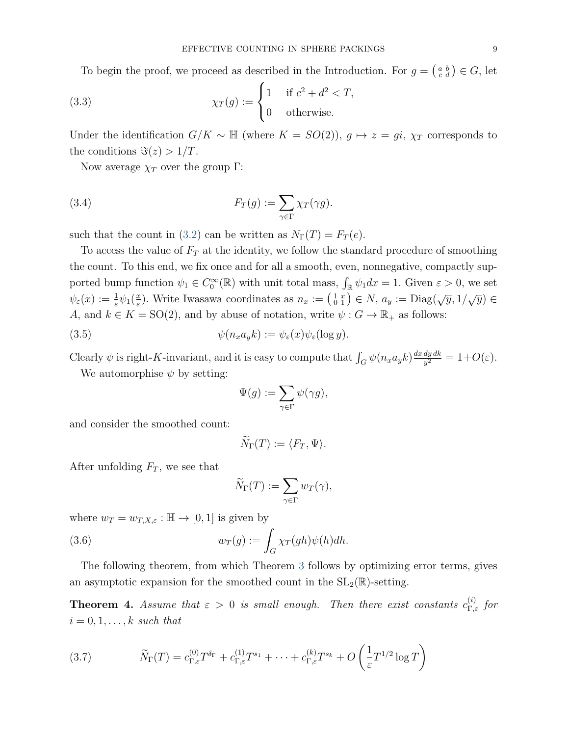To begin the proof, we proceed as described in the Introduction. For  $g = \begin{pmatrix} a & b \\ c & d \end{pmatrix} \in G$ , let

(3.3) 
$$
\chi_T(g) := \begin{cases} 1 & \text{if } c^2 + d^2 < T, \\ 0 & \text{otherwise.} \end{cases}
$$

Under the identification  $G/K \sim \mathbb{H}$  (where  $K = SO(2)$ ),  $g \mapsto z = gi$ ,  $\chi_T$  corresponds to the conditions  $\Im(z) > 1/T$ .

Now average  $\chi_T$  over the group Γ:

(3.4) 
$$
F_T(g) := \sum_{\gamma \in \Gamma} \chi_T(\gamma g).
$$

such that the count in [\(3.2\)](#page-7-2) can be written as  $N_{\Gamma}(T) = F_T(e)$ .

To access the value of  $F_T$  at the identity, we follow the standard procedure of smoothing the count. To this end, we fix once and for all a smooth, even, nonnegative, compactly supported bump function  $\psi_1 \in C_0^{\infty}(\mathbb{R})$  with unit total mass,  $\int_{\mathbb{R}} \psi_1 dx = 1$ . Given  $\varepsilon > 0$ , we set  $\psi_\varepsilon(x):=\frac{1}{\varepsilon}\psi_1(\frac{x}{\varepsilon}$ <sup>x</sup><sub>ε</sub>). Write Iwasawa coordinates as  $n_x := \left(\begin{smallmatrix} 1 & x \\ 0 & 1 \end{smallmatrix}\right) \in N$ ,  $a_y := \text{Diag}(\sqrt{y}, 1/\sqrt{y}) \in$ A, and  $k \in K = SO(2)$ , and by abuse of notation, write  $\psi : G \to \mathbb{R}_+$  as follows:

(3.5) 
$$
\psi(n_x a_y k) := \psi_{\varepsilon}(x) \psi_{\varepsilon}(\log y).
$$

Clearly  $\psi$  is right-K-invariant, and it is easy to compute that  $\int_G \psi(n_x a_y k) \frac{dx dy dk}{y^2}$  $\frac{dy\,dk}{y^2}=1+O(\varepsilon).$ 

We automorphise  $\psi$  by setting:

$$
\Psi(g):=\sum_{\gamma\in\Gamma}\psi(\gamma g),
$$

and consider the smoothed count:

$$
\widetilde{N}_{\Gamma}(T) := \langle F_T, \Psi \rangle.
$$

After unfolding  $F_T$ , we see that

$$
\widetilde{N}_{\Gamma}(T) := \sum_{\gamma \in \Gamma} w_T(\gamma),
$$

where  $w_T = w_{T,X,\varepsilon} : \mathbb{H} \to [0,1]$  is given by

(3.6) 
$$
w_T(g) := \int_G \chi_T(gh)\psi(h)dh.
$$

The following theorem, from which Theorem [3](#page-7-1) follows by optimizing error terms, gives an asymptotic expansion for the smoothed count in the  $SL_2(\mathbb{R})$ -setting.

<span id="page-8-0"></span>**Theorem 4.** Assume that  $\varepsilon > 0$  is small enough. Then there exist constants  $c_{\Gamma,\varepsilon}^{(i)}$  for  $i = 0, 1, \ldots, k$  such that

(3.7) 
$$
\widetilde{N}_{\Gamma}(T) = c_{\Gamma,\varepsilon}^{(0)} T^{\delta_{\Gamma}} + c_{\Gamma,\varepsilon}^{(1)} T^{s_1} + \dots + c_{\Gamma,\varepsilon}^{(k)} T^{s_k} + O\left(\frac{1}{\varepsilon} T^{1/2} \log T\right)
$$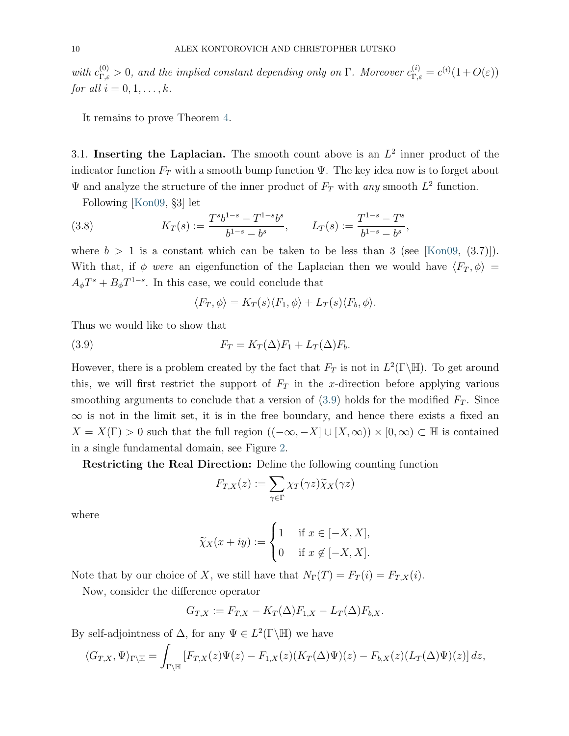with  $c_{\Gamma,\varepsilon}^{(0)} > 0$ , and the implied constant depending only on  $\Gamma$ . Moreover  $c_{\Gamma,\varepsilon}^{(i)} = c^{(i)}(1+O(\varepsilon))$ for all  $i = 0, 1, \ldots, k$ .

It remains to prove Theorem [4.](#page-8-0)

<span id="page-9-0"></span>3.1. Inserting the Laplacian. The smooth count above is an  $L^2$  inner product of the indicator function  $F_T$  with a smooth bump function  $\Psi$ . The key idea now is to forget about  $\Psi$  and analyze the structure of the inner product of  $F_T$  with any smooth  $L^2$  function.

Following [\[Kon09,](#page-37-0) §3] let

<span id="page-9-2"></span>(3.8) 
$$
K_T(s) := \frac{T^s b^{1-s} - T^{1-s} b^s}{b^{1-s} - b^s}, \qquad L_T(s) := \frac{T^{1-s} - T^s}{b^{1-s} - b^s},
$$

where  $b > 1$  is a constant which can be taken to be less than 3 (see [\[Kon09,](#page-37-0) (3.7)]). With that, if  $\phi$  were an eigenfunction of the Laplacian then we would have  $\langle F_T , \phi \rangle =$  $A_{\phi}T^{s} + B_{\phi}T^{1-s}$ . In this case, we could conclude that

$$
\langle F_T, \phi \rangle = K_T(s) \langle F_1, \phi \rangle + L_T(s) \langle F_b, \phi \rangle.
$$

<span id="page-9-1"></span>Thus we would like to show that

(3.9) 
$$
F_T = K_T(\Delta)F_1 + L_T(\Delta)F_b.
$$

However, there is a problem created by the fact that  $F_T$  is not in  $L^2(\Gamma \backslash \mathbb{H})$ . To get around this, we will first restrict the support of  $F_T$  in the x-direction before applying various smoothing arguments to conclude that a version of  $(3.9)$  holds for the modified  $F_T$ . Since  $\infty$  is not in the limit set, it is in the free boundary, and hence there exists a fixed an  $X = X(\Gamma) > 0$  such that the full region  $((-\infty, -X] \cup [X, \infty)) \times [0, \infty) \subset \mathbb{H}$  is contained in a single fundamental domain, see Figure [2.](#page-10-0)

Restricting the Real Direction: Define the following counting function

$$
F_{T,X}(z) := \sum_{\gamma \in \Gamma} \chi_T(\gamma z) \widetilde{\chi}_X(\gamma z)
$$

where

$$
\widetilde{\chi}_X(x+iy) := \begin{cases} 1 & \text{if } x \in [-X, X], \\ 0 & \text{if } x \notin [-X, X]. \end{cases}
$$

Note that by our choice of X, we still have that  $N_{\Gamma}(T) = F_T(i) = F_{T,X}(i)$ .

Now, consider the difference operator

$$
G_{T,X} := F_{T,X} - K_T(\Delta)F_{1,X} - L_T(\Delta)F_{b,X}.
$$

By self-adjointness of  $\Delta$ , for any  $\Psi \in L^2(\Gamma \backslash \mathbb{H})$  we have

$$
\langle G_{T,X}, \Psi \rangle_{\Gamma \backslash \mathbb{H}} = \int_{\Gamma \backslash \mathbb{H}} \left[ F_{T,X}(z) \Psi(z) - F_{1,X}(z) (K_T(\Delta) \Psi)(z) - F_{b,X}(z) (L_T(\Delta) \Psi)(z) \right] dz,
$$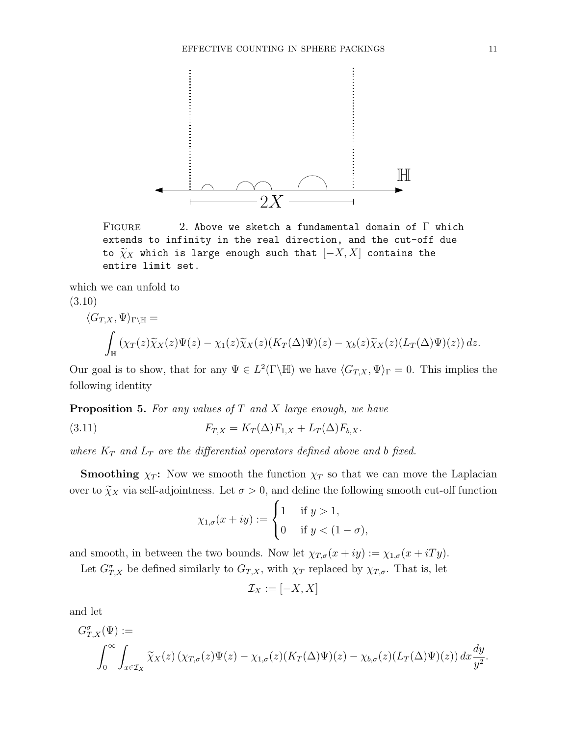

<span id="page-10-0"></span>FIGURE 2. Above we sketch a fundamental domain of  $\Gamma$  which extends to infinity in the real direction, and the cut-off due to  $\widetilde{\chi}_X$  which is large enough such that  $[-X, X]$  contains the entire limit set.

which we can unfold to (3.10)

$$
\langle G_{T,X}, \Psi \rangle_{\Gamma \backslash \mathbb{H}} =
$$
  

$$
\int_{\mathbb{H}} (\chi_T(z) \widetilde{\chi}_X(z) \Psi(z) - \chi_1(z) \widetilde{\chi}_X(z) (K_T(\Delta) \Psi)(z) - \chi_b(z) \widetilde{\chi}_X(z) (L_T(\Delta) \Psi)(z)) dz.
$$

Our goal is to show, that for any  $\Psi \in L^2(\Gamma \backslash \mathbb{H})$  we have  $\langle G_{T,X}, \Psi \rangle_{\Gamma} = 0$ . This implies the following identity

<span id="page-10-1"></span>**Proposition 5.** For any values of  $T$  and  $X$  large enough, we have

(3.11) 
$$
F_{T,X} = K_T(\Delta) F_{1,X} + L_T(\Delta) F_{b,X}.
$$

where  $K_T$  and  $L_T$  are the differential operators defined above and b fixed.

**Smoothing**  $\chi_T$ : Now we smooth the function  $\chi_T$  so that we can move the Laplacian over to  $\tilde{\chi}_X$  via self-adjointness. Let  $\sigma > 0$ , and define the following smooth cut-off function

$$
\chi_{1,\sigma}(x+iy) := \begin{cases} 1 & \text{if } y > 1, \\ 0 & \text{if } y < (1-\sigma), \end{cases}
$$

and smooth, in between the two bounds. Now let  $\chi_{T,\sigma}(x+iy) := \chi_{1,\sigma}(x+iTy)$ .

Let  $G_{T,X}^{\sigma}$  be defined similarly to  $G_{T,X}$ , with  $\chi_T$  replaced by  $\chi_{T,\sigma}$ . That is, let

$$
\mathcal{I}_X := [-X, X]
$$

and let

$$
G_{T,X}^{\sigma}(\Psi) :=
$$
  

$$
\int_0^{\infty} \int_{x \in \mathcal{I}_X} \widetilde{\chi}_X(z) \left( \chi_{T,\sigma}(z) \Psi(z) - \chi_{1,\sigma}(z) (K_T(\Delta) \Psi)(z) - \chi_{b,\sigma}(z) (L_T(\Delta) \Psi)(z) \right) dx \frac{dy}{y^2}.
$$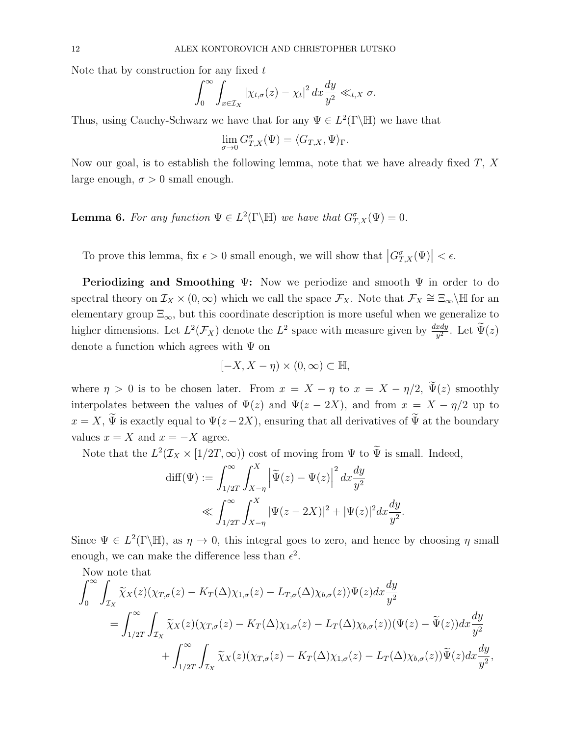Note that by construction for any fixed  $t$ 

$$
\int_0^\infty \int_{x \in \mathcal{I}_X} |\chi_{t,\sigma}(z) - \chi_t|^2 \, dx \frac{dy}{y^2} \ll_{t,X} \sigma.
$$

Thus, using Cauchy-Schwarz we have that for any  $\Psi \in L^2(\Gamma \backslash \mathbb{H})$  we have that

$$
\lim_{\sigma\to 0}G_{T,X}^\sigma(\Psi)=\langle G_{T,X},\Psi\rangle_\Gamma.
$$

Now our goal, is to establish the following lemma, note that we have already fixed  $T$ ,  $X$ large enough,  $\sigma > 0$  small enough.

<span id="page-11-0"></span>**Lemma 6.** For any function  $\Psi \in L^2(\Gamma \backslash \mathbb{H})$  we have that  $G_{T,X}^{\sigma}(\Psi) = 0$ .

To prove this lemma, fix  $\epsilon > 0$  small enough, we will show that  $|G_{T,X}^{\sigma}(\Psi)| < \epsilon$ .

**Periodizing and Smoothing Ψ:** Now we periodize and smooth  $\Psi$  in order to do spectral theory on  $\mathcal{I}_X \times (0,\infty)$  which we call the space  $\mathcal{F}_X$ . Note that  $\mathcal{F}_X \cong \Xi_{\infty}\backslash\mathbb{H}$  for an elementary group  $\Xi_{\infty}$ , but this coordinate description is more useful when we generalize to higher dimensions. Let  $L^2(\mathcal{F}_X)$  denote the  $L^2$  space with measure given by  $\frac{dxdy}{y^2}$ . Let  $\widetilde{\Psi}(z)$ denote a function which agrees with  $\Psi$  on

$$
[-X, X - \eta) \times (0, \infty) \subset \mathbb{H},
$$

where  $\eta > 0$  is to be chosen later. From  $x = X - \eta$  to  $x = X - \eta/2$ ,  $\tilde{\Psi}(z)$  smoothly interpolates between the values of  $\Psi(z)$  and  $\Psi(z - 2X)$ , and from  $x = X - \eta/2$  up to  $x = X$ ,  $\widetilde{\Psi}$  is exactly equal to  $\Psi(z - 2X)$ , ensuring that all derivatives of  $\widetilde{\Psi}$  at the boundary values  $x = X$  and  $x = -X$  agree.

Note that the  $L^2(\mathcal{I}_X \times [1/2T, \infty))$  cost of moving from  $\Psi$  to  $\tilde{\Psi}$  is small. Indeed,

$$
\text{diff}(\Psi) := \int_{1/2T}^{\infty} \int_{X-\eta}^{X} \left| \widetilde{\Psi}(z) - \Psi(z) \right|^2 dx \frac{dy}{y^2}
$$
  

$$
\ll \int_{1/2T}^{\infty} \int_{X-\eta}^{X} \left| \Psi(z - 2X) \right|^2 + |\Psi(z)|^2 dx \frac{dy}{y^2}.
$$

Since  $\Psi \in L^2(\Gamma \backslash \mathbb{H})$ , as  $\eta \to 0$ , this integral goes to zero, and hence by choosing  $\eta$  small enough, we can make the difference less than  $\epsilon^2$ .

Now note that

$$
\int_0^\infty \int_{\mathcal{I}_X} \widetilde{\chi}_X(z) (\chi_{T,\sigma}(z) - K_T(\Delta)\chi_{1,\sigma}(z) - L_{T,\sigma}(\Delta)\chi_{b,\sigma}(z)) \Psi(z) dx \frac{dy}{y^2}
$$
  
= 
$$
\int_{1/2T}^\infty \int_{\mathcal{I}_X} \widetilde{\chi}_X(z) (\chi_{T,\sigma}(z) - K_T(\Delta)\chi_{1,\sigma}(z) - L_T(\Delta)\chi_{b,\sigma}(z)) (\Psi(z) - \widetilde{\Psi}(z)) dx \frac{dy}{y^2}
$$
  
+ 
$$
\int_{1/2T}^\infty \int_{\mathcal{I}_X} \widetilde{\chi}_X(z) (\chi_{T,\sigma}(z) - K_T(\Delta)\chi_{1,\sigma}(z) - L_T(\Delta)\chi_{b,\sigma}(z)) \widetilde{\Psi}(z) dx \frac{dy}{y^2},
$$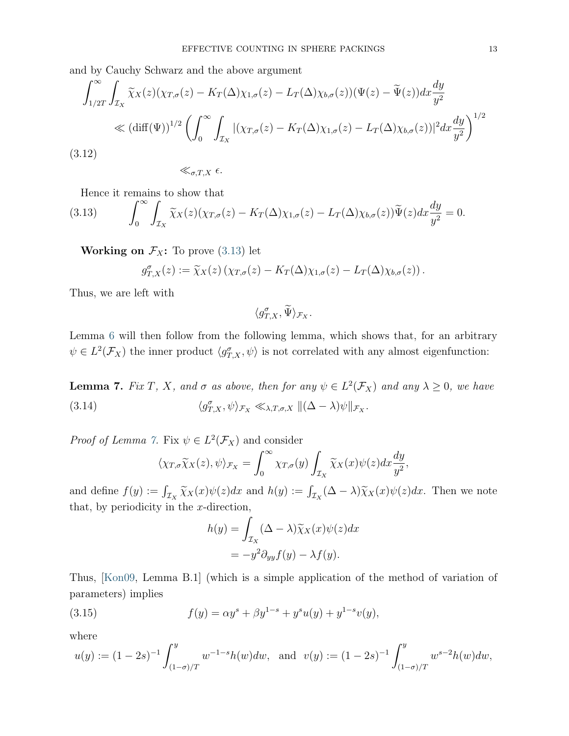and by Cauchy Schwarz and the above argument

$$
\int_{1/2T}^{\infty} \int_{\mathcal{I}_X} \tilde{\chi}_X(z) (\chi_{T,\sigma}(z) - K_T(\Delta) \chi_{1,\sigma}(z) - L_T(\Delta) \chi_{b,\sigma}(z)) (\Psi(z) - \tilde{\Psi}(z)) dx \frac{dy}{y^2}
$$
  

$$
\ll (\text{diff}(\Psi))^{1/2} \left( \int_0^{\infty} \int_{\mathcal{I}_X} |(\chi_{T,\sigma}(z) - K_T(\Delta) \chi_{1,\sigma}(z) - L_T(\Delta) \chi_{b,\sigma}(z))|^2 dx \frac{dy}{y^2} \right)^{1/2}
$$
  
3.12)

<span id="page-12-2"></span> $(3.12)$ 

 $\ll_{\sigma.T,X} \epsilon$ .

Hence it remains to show that

<span id="page-12-0"></span>(3.13) 
$$
\int_0^\infty \int_{\mathcal{I}_X} \widetilde{\chi}_X(z) (\chi_{T,\sigma}(z) - K_T(\Delta) \chi_{1,\sigma}(z) - L_T(\Delta) \chi_{b,\sigma}(z)) \widetilde{\Psi}(z) dx \frac{dy}{y^2} = 0.
$$

**Working on**  $\mathcal{F}_X$ **:** To prove [\(3.13\)](#page-12-0) let

$$
g_{T,X}^{\sigma}(z) := \widetilde{\chi}_X(z) \left( \chi_{T,\sigma}(z) - K_T(\Delta) \chi_{1,\sigma}(z) - L_T(\Delta) \chi_{b,\sigma}(z) \right).
$$

Thus, we are left with

 $\langle g_{T,X}^{\sigma}, \widetilde{\Psi} \rangle_{\mathcal{F}_X}.$ 

Lemma [6](#page-11-0) will then follow from the following lemma, which shows that, for an arbitrary  $\psi \in L^2(\mathcal{F}_X)$  the inner product  $\langle g_{T,X}^{\sigma}, \psi \rangle$  is not correlated with any almost eigenfunction:

<span id="page-12-1"></span>**Lemma 7.** Fix T, X, and  $\sigma$  as above, then for any  $\psi \in L^2(\mathcal{F}_X)$  and any  $\lambda \geq 0$ , we have (3.14)  $\langle g_{T,X}^{\sigma}, \psi \rangle_{\mathcal{F}_X} \ll_{\lambda, T, \sigma, X} ||(\Delta - \lambda)\psi||_{\mathcal{F}_X}.$ 

*Proof of Lemma [7.](#page-12-1)* Fix  $\psi \in L^2(\mathcal{F}_X)$  and consider

$$
\langle \chi_{T,\sigma}\widetilde{\chi}_X(z),\psi\rangle_{\mathcal{F}_X} = \int_0^\infty \chi_{T,\sigma}(y) \int_{\mathcal{I}_X} \widetilde{\chi}_X(x)\psi(z)dx\frac{dy}{y^2},
$$

and define  $f(y) := \int_{\mathcal{I}_X} \widetilde{\chi}_X(x) \psi(z) dx$  and  $h(y) := \int_{\mathcal{I}_X} (\Delta - \lambda) \widetilde{\chi}_X(x) \psi(z) dx$ . Then we note that, by periodicity in the  $x$ -direction,

$$
h(y) = \int_{\mathcal{I}_X} (\Delta - \lambda) \widetilde{\chi}_X(x) \psi(z) dx
$$
  
=  $-y^2 \partial_{yy} f(y) - \lambda f(y).$ 

Thus, [\[Kon09,](#page-37-0) Lemma B.1] (which is a simple application of the method of variation of parameters) implies

<span id="page-12-3"></span>(3.15) 
$$
f(y) = \alpha y^s + \beta y^{1-s} + y^s u(y) + y^{1-s} v(y),
$$

where

$$
u(y) := (1 - 2s)^{-1} \int_{(1-\sigma)/T}^{y} w^{-1-s} h(w) dw
$$
, and  $v(y) := (1 - 2s)^{-1} \int_{(1-\sigma)/T}^{y} w^{s-2} h(w) dw$ ,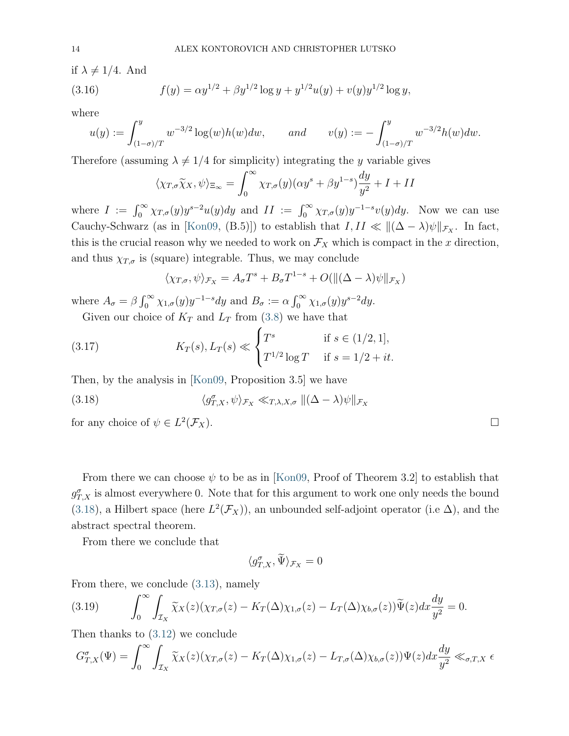if  $\lambda \neq 1/4$ . And

(3.16) 
$$
f(y) = \alpha y^{1/2} + \beta y^{1/2} \log y + y^{1/2} u(y) + v(y) y^{1/2} \log y,
$$

where

$$
u(y) := \int_{(1-\sigma)/T}^{y} w^{-3/2} \log(w) h(w) dw, \quad and \quad v(y) := -\int_{(1-\sigma)/T}^{y} w^{-3/2} h(w) dw.
$$

Therefore (assuming  $\lambda \neq 1/4$  for simplicity) integrating the y variable gives

$$
\langle \chi_{T,\sigma} \widetilde{\chi}_X, \psi \rangle_{\Xi_{\infty}} = \int_0^{\infty} \chi_{T,\sigma}(y) (\alpha y^s + \beta y^{1-s}) \frac{dy}{y^2} + I + II
$$

where  $I := \int_0^\infty \chi_{T,\sigma}(y) y^{s-2} u(y) dy$  and  $II := \int_0^\infty \chi_{T,\sigma}(y) y^{-1-s} v(y) dy$ . Now we can use Cauchy-Schwarz (as in [\[Kon09,](#page-37-0) (B.5)]) to establish that  $I, II \ll ||(\Delta - \lambda)\psi||_{\mathcal{F}_X}$ . In fact, this is the crucial reason why we needed to work on  $\mathcal{F}_X$  which is compact in the x direction, and thus  $\chi_{T,\sigma}$  is (square) integrable. Thus, we may conclude

$$
\langle \chi_{T,\sigma}, \psi \rangle_{\mathcal{F}_X} = A_{\sigma} T^s + B_{\sigma} T^{1-s} + O(\|(\Delta - \lambda)\psi\|_{\mathcal{F}_X})
$$

where  $A_{\sigma} = \beta \int_0^{\infty} \chi_{1,\sigma}(y) y^{-1-s} dy$  and  $B_{\sigma} := \alpha \int_0^{\infty} \chi_{1,\sigma}(y) y^{s-2} dy$ .

Given our choice of  $K_T$  and  $L_T$  from [\(3.8\)](#page-9-2) we have that

<span id="page-13-1"></span>(3.17) 
$$
K_T(s), L_T(s) \ll \begin{cases} T^s & \text{if } s \in (1/2, 1], \\ T^{1/2} \log T & \text{if } s = 1/2 + it. \end{cases}
$$

<span id="page-13-0"></span>Then, by the analysis in [\[Kon09,](#page-37-0) Proposition 3.5] we have

(3.18) 
$$
\langle g_{T,X}^{\sigma}, \psi \rangle_{\mathcal{F}_X} \ll_{T,\lambda,X,\sigma} ||(\Delta - \lambda)\psi||_{\mathcal{F}_X}
$$

for any choice of  $\psi \in L^2$  $(\mathcal{F}_X)$ .

| From there we can choose $\psi$ to be as in [Kon09, Proof of Theorem 3.2] to establish that                       |
|-------------------------------------------------------------------------------------------------------------------|
| $g_{TX}^{\sigma}$ is almost everywhere 0. Note that for this argument to work one only needs the bound            |
| (3.18), a Hilbert space (here $L^2(\mathcal{F}_X)$ ), an unbounded self-adjoint operator (i.e $\Delta$ ), and the |
| abstract spectral theorem.                                                                                        |

From there we conclude that

$$
\langle g_{T,X}^{\sigma}, \widetilde{\Psi} \rangle_{\mathcal{F}_X} = 0
$$

From there, we conclude [\(3.13\)](#page-12-0), namely

(3.19) 
$$
\int_0^\infty \int_{\mathcal{I}_X} \widetilde{\chi}_X(z) (\chi_{T,\sigma}(z) - K_T(\Delta) \chi_{1,\sigma}(z) - L_T(\Delta) \chi_{b,\sigma}(z)) \widetilde{\Psi}(z) dx \frac{dy}{y^2} = 0.
$$

Then thanks to [\(3.12\)](#page-12-2) we conclude

$$
G_{T,X}^{\sigma}(\Psi) = \int_0^{\infty} \int_{\mathcal{I}_X} \widetilde{\chi}_X(z) (\chi_{T,\sigma}(z) - K_T(\Delta)\chi_{1,\sigma}(z) - L_{T,\sigma}(\Delta)\chi_{b,\sigma}(z)) \Psi(z) dx \frac{dy}{y^2} \ll_{\sigma,T,X} \epsilon
$$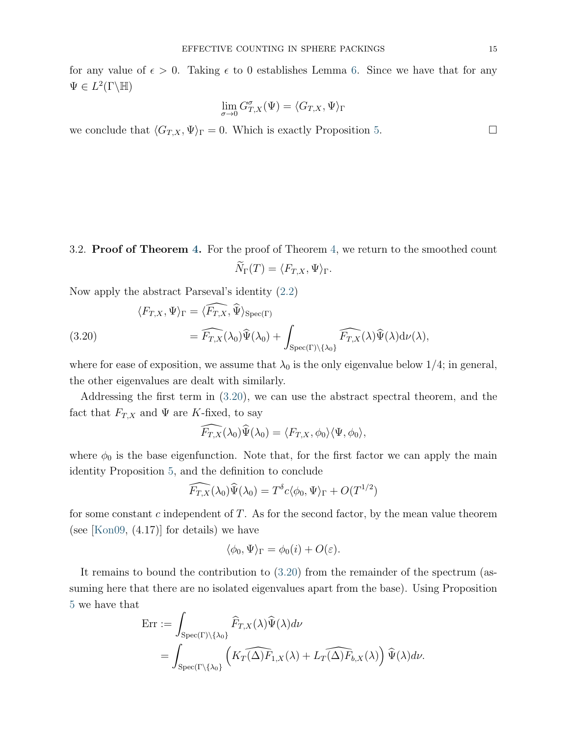for any value of  $\epsilon > 0$ . Taking  $\epsilon$  to 0 establishes Lemma [6.](#page-11-0) Since we have that for any  $\Psi \in L^2(\Gamma \backslash \mathbb{H})$ 

$$
\lim_{\sigma \to 0} G_{T,X}^{\sigma}(\Psi) = \langle G_{T,X}, \Psi \rangle_{\Gamma}
$$

we conclude that  $\langle G_{T,X}, \Psi \rangle_{\Gamma} = 0$ . Which is exactly Proposition [5.](#page-10-1)

3.2. Proof of Theorem [4.](#page-8-0) For the proof of Theorem [4,](#page-8-0) we return to the smoothed count  $\widetilde{N}_{\Gamma}(T) = \langle F_{T,X}, \Psi \rangle_{\Gamma}.$ 

Now apply the abstract Parseval's identity [\(2.2\)](#page-6-0)

<span id="page-14-0"></span>(3.20)  
\n
$$
\langle F_{T,X}, \Psi \rangle_{\Gamma} = \langle \widehat{F_{T,X}}, \widehat{\Psi} \rangle_{\text{Spec}(\Gamma)}
$$
\n
$$
= \widehat{F_{T,X}}(\lambda_0) \widehat{\Psi}(\lambda_0) + \int_{\text{Spec}(\Gamma) \backslash {\{\lambda_0\}}} \widehat{F_{T,X}}(\lambda) \widehat{\Psi}(\lambda) d\nu(\lambda),
$$

where for ease of exposition, we assume that  $\lambda_0$  is the only eigenvalue below 1/4; in general, the other eigenvalues are dealt with similarly.

Addressing the first term in [\(3.20\)](#page-14-0), we can use the abstract spectral theorem, and the fact that  $F_{T,X}$  and  $\Psi$  are K-fixed, to say

$$
\widehat{F_{T,X}}(\lambda_0)\widehat{\Psi}(\lambda_0)=\langle F_{T,X},\phi_0\rangle\langle\Psi,\phi_0\rangle,
$$

where  $\phi_0$  is the base eigenfunction. Note that, for the first factor we can apply the main identity Proposition [5,](#page-10-1) and the definition to conclude

$$
\widehat{F_{T,X}}(\lambda_0)\widehat{\Psi}(\lambda_0) = T^{\delta}c\langle \phi_0, \Psi \rangle_{\Gamma} + O(T^{1/2})
$$

for some constant  $c$  independent of  $T$ . As for the second factor, by the mean value theorem (see [\[Kon09,](#page-37-0)  $(4.17)$ ] for details) we have

$$
\langle \phi_0, \Psi \rangle_{\Gamma} = \phi_0(i) + O(\varepsilon).
$$

It remains to bound the contribution to [\(3.20\)](#page-14-0) from the remainder of the spectrum (assuming here that there are no isolated eigenvalues apart from the base). Using Proposition [5](#page-10-1) we have that

$$
\begin{split} \text{Err} &:= \int_{\text{Spec}(\Gamma)\backslash\{\lambda_0\}} \widehat{F}_{T,X}(\lambda)\widehat{\Psi}(\lambda)d\nu \\ &= \int_{\text{Spec}(\Gamma\backslash\{\lambda_0\}} \left( K_T(\widehat{\Delta)F}_{1,X}(\lambda) + L_T(\widehat{\Delta)F}_{b,X}(\lambda) \right) \widehat{\Psi}(\lambda)d\nu. \end{split}
$$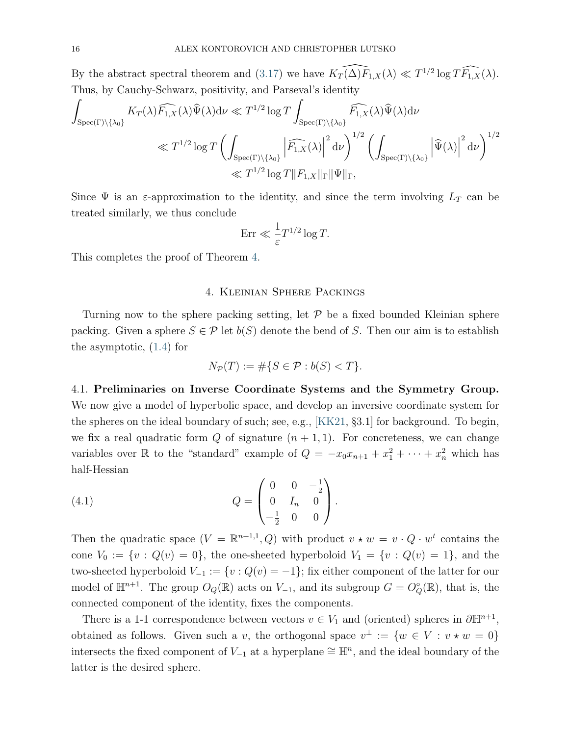By the abstract spectral theorem and [\(3.17\)](#page-13-1) we have  $\widehat{K_T(\Delta)F_{1,X}}(\lambda) \ll T^{1/2}\log T\widehat{F_{1,X}}(\lambda)$ . Thus, by Cauchy-Schwarz, positivity, and Parseval's identity

$$
\int_{\operatorname{Spec}(\Gamma)\backslash\{\lambda_0\}} K_T(\lambda)\widehat{F_{1,X}}(\lambda)\widehat{\Psi}(\lambda)d\nu \ll T^{1/2}\log T \int_{\operatorname{Spec}(\Gamma)\backslash\{\lambda_0\}} \widehat{F_{1,X}}(\lambda)\widehat{\Psi}(\lambda)d\nu
$$
\n
$$
\ll T^{1/2}\log T \left(\int_{\operatorname{Spec}(\Gamma)\backslash\{\lambda_0\}} \left|\widehat{F_{1,X}}(\lambda)\right|^2 d\nu\right)^{1/2} \left(\int_{\operatorname{Spec}(\Gamma)\backslash\{\lambda_0\}} \left|\widehat{\Psi}(\lambda)\right|^2 d\nu\right)^{1/2}
$$
\n
$$
\ll T^{1/2}\log T \|F_{1,X}\|_{\Gamma}\|\Psi\|_{\Gamma},
$$

Since  $\Psi$  is an  $\varepsilon$ -approximation to the identity, and since the term involving  $L_T$  can be treated similarly, we thus conclude

$$
\text{Err} \ll \frac{1}{\varepsilon} T^{1/2} \log T.
$$

<span id="page-15-0"></span>This completes the proof of Theorem [4.](#page-8-0)

## 4. Kleinian Sphere Packings

Turning now to the sphere packing setting, let  $P$  be a fixed bounded Kleinian sphere packing. Given a sphere  $S \in \mathcal{P}$  let  $b(S)$  denote the bend of S. Then our aim is to establish the asymptotic, [\(1.4\)](#page-2-1) for

$$
N_{\mathcal{P}}(T) := \# \{ S \in \mathcal{P} : b(S) < T \}.
$$

4.1. Preliminaries on Inverse Coordinate Systems and the Symmetry Group. We now give a model of hyperbolic space, and develop an inversive coordinate system for the spheres on the ideal boundary of such; see, e.g., [\[KK21,](#page-36-0) §3.1] for background. To begin, we fix a real quadratic form  $Q$  of signature  $(n + 1, 1)$ . For concreteness, we can change variables over R to the "standard" example of  $Q = -x_0x_{n+1} + x_1^2 + \cdots + x_n^2$  which has half-Hessian

<span id="page-15-1"></span>(4.1) 
$$
Q = \begin{pmatrix} 0 & 0 & -\frac{1}{2} \\ 0 & I_n & 0 \\ -\frac{1}{2} & 0 & 0 \end{pmatrix}.
$$

Then the quadratic space  $(V = \mathbb{R}^{n+1,1}, Q)$  with product  $v \star w = v \cdot Q \cdot w^t$  contains the cone  $V_0 := \{v : Q(v) = 0\}$ , the one-sheeted hyperboloid  $V_1 = \{v : Q(v) = 1\}$ , and the two-sheeted hyperboloid  $V_{-1} := \{v : Q(v) = -1\}$ ; fix either component of the latter for our model of  $\mathbb{H}^{n+1}$ . The group  $O_Q(\mathbb{R})$  acts on  $V_{-1}$ , and its subgroup  $G = O_Q^{\circ}(\mathbb{R})$ , that is, the connected component of the identity, fixes the components.

There is a 1-1 correspondence between vectors  $v \in V_1$  and (oriented) spheres in  $\partial \mathbb{H}^{n+1}$ , obtained as follows. Given such a v, the orthogonal space  $v^{\perp} := \{w \in V : v \star w = 0\}$ intersects the fixed component of  $V_{-1}$  at a hyperplane  $\cong \mathbb{H}^n$ , and the ideal boundary of the latter is the desired sphere.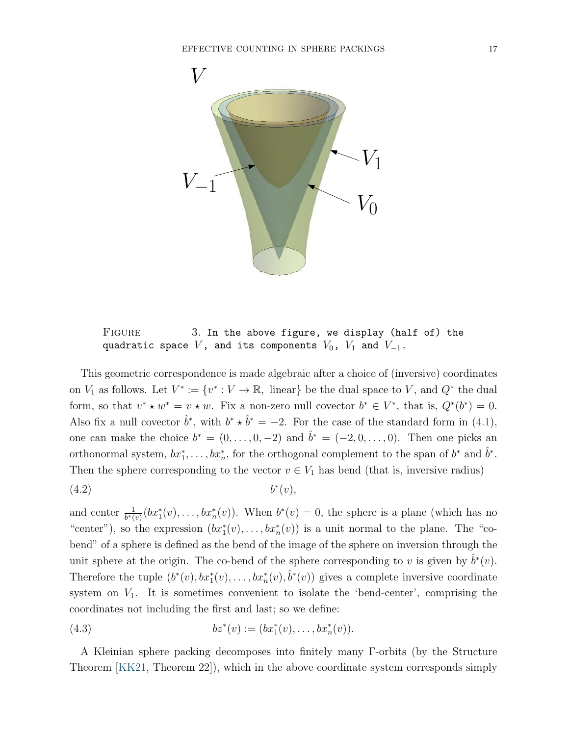

FIGURE 3. In the above figure, we display (half of) the quadratic space  $V$ , and its components  $V_0$ ,  $V_1$  and  $V_{-1}$ .

This geometric correspondence is made algebraic after a choice of (inversive) coordinates on  $V_1$  as follows. Let  $V^* := \{v^* : V \to \mathbb{R}, \text{ linear}\}\$  be the dual space to V, and  $Q^*$  the dual form, so that  $v^* \star w^* = v \star w$ . Fix a non-zero null covector  $b^* \in V^*$ , that is,  $Q^*(b^*) = 0$ . Also fix a null covector  $\hat{b}^*$ , with  $b^* \star \hat{b}^* = -2$ . For the case of the standard form in [\(4.1\)](#page-15-1), one can make the choice  $b^* = (0, \ldots, 0, -2)$  and  $\hat{b}^* = (-2, 0, \ldots, 0)$ . Then one picks an orthonormal system,  $bx_1^*, \ldots, bx_n^*$ , for the orthogonal complement to the span of  $b^*$  and  $\hat{b}^*$ . Then the sphere corresponding to the vector  $v \in V_1$  has bend (that is, inversive radius)  $(4.2)$  b  $^*(v)$ ,

<span id="page-16-0"></span>and center  $\frac{1}{b^*(v)}(bx_1^*(v),\ldots,bx_n^*(v))$ . When  $b^*(v)=0$ , the sphere is a plane (which has no "center"), so the expression  $(bx_1^*(v),...,bx_n^*(v))$  is a unit normal to the plane. The "cobend" of a sphere is defined as the bend of the image of the sphere on inversion through the unit sphere at the origin. The co-bend of the sphere corresponding to v is given by  $\hat{b}^*(v)$ . Therefore the tuple  $(b^*(v), bx_1^*(v), \ldots, bx_n^*(v), \hat{b}^*(v))$  gives a complete inversive coordinate system on  $V_1$ . It is sometimes convenient to isolate the 'bend-center', comprising the coordinates not including the first and last; so we define:

<span id="page-16-1"></span>(4.3) 
$$
bz^*(v) := (bx_1^*(v), \dots, bx_n^*(v)).
$$

A Kleinian sphere packing decomposes into finitely many Γ-orbits (by the Structure Theorem [\[KK21,](#page-36-0) Theorem 22]), which in the above coordinate system corresponds simply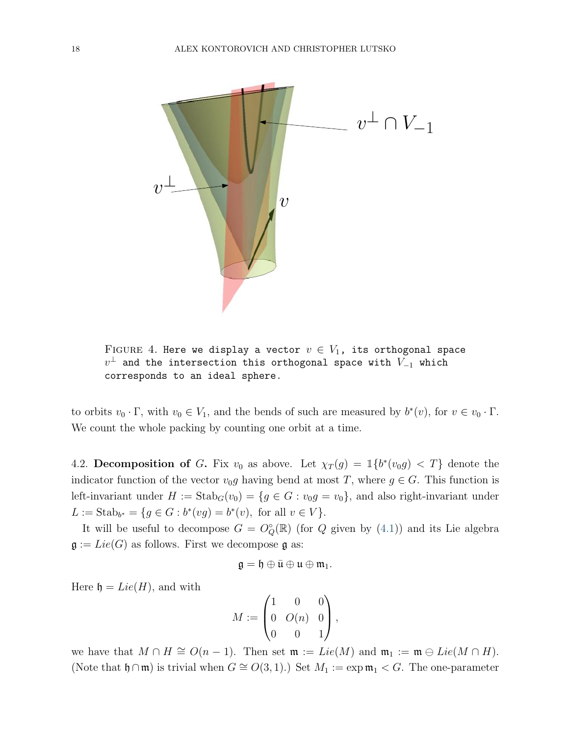

FIGURE 4. Here we display a vector  $v \in V_1$ , its orthogonal space  $v^\perp$  and the intersection this orthogonal space with  $V_{-1}$  which corresponds to an ideal sphere.

to orbits  $v_0 \cdot \Gamma$ , with  $v_0 \in V_1$ , and the bends of such are measured by  $b^*(v)$ , for  $v \in v_0 \cdot \Gamma$ . We count the whole packing by counting one orbit at a time.

<span id="page-17-0"></span>4.2. Decomposition of G. Fix  $v_0$  as above. Let  $\chi_T(g) = \mathbb{1}\lbrace b^*(v_0 g) < T \rbrace$  denote the indicator function of the vector  $v_0g$  having bend at most T, where  $g \in G$ . This function is left-invariant under  $H := \text{Stab}_G(v_0) = \{g \in G : v_0g = v_0\}$ , and also right-invariant under  $L := \text{Stab}_{b^*} = \{ g \in G : b^*(vg) = b^*(v), \text{ for all } v \in V \}.$ 

It will be useful to decompose  $G = O^{\circ}_{Q}(\mathbb{R})$  (for Q given by [\(4.1\)](#page-15-1)) and its Lie algebra  $\mathfrak{g} := Lie(G)$  as follows. First we decompose  $\mathfrak{g}$  as:

$$
\mathfrak{g}=\mathfrak{h}\oplus\bar{\mathfrak{u}}\oplus\mathfrak{u}\oplus\mathfrak{m}_1.
$$

Here  $\mathfrak{h} = Lie(H)$ , and with

$$
M:=\begin{pmatrix} 1 & 0 & 0 \\ 0 & O(n) & 0 \\ 0 & 0 & 1 \end{pmatrix},
$$

we have that  $M \cap H \cong O(n-1)$ . Then set  $\mathfrak{m} := Lie(M)$  and  $\mathfrak{m}_1 := \mathfrak{m} \oplus Lie(M \cap H)$ . (Note that  $\mathfrak{h} \cap \mathfrak{m}$ ) is trivial when  $G \cong O(3, 1)$ .) Set  $M_1 := \exp \mathfrak{m}_1 < G$ . The one-parameter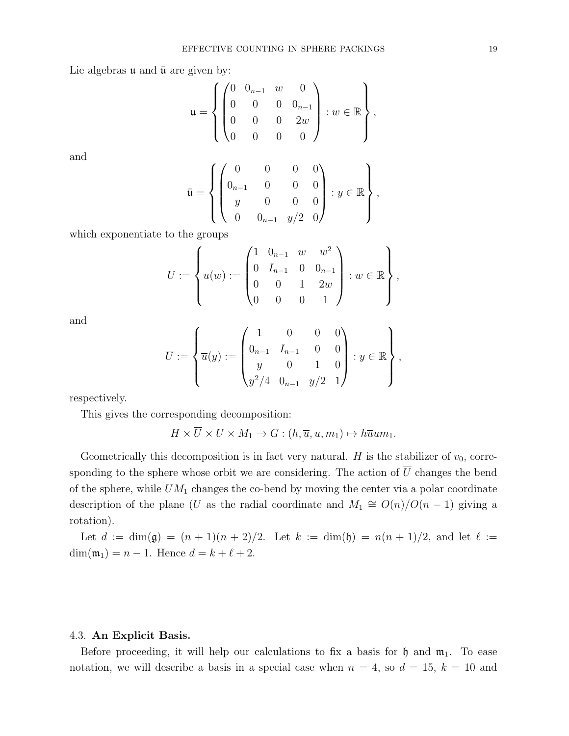Lie algebras  $\mu$  and  $\bar{\mu}$  are given by:

$$
\mathfrak{u} = \left\{ \begin{pmatrix} 0 & 0_{n-1} & w & 0 \\ 0 & 0 & 0 & 0_{n-1} \\ 0 & 0 & 0 & 2w \\ 0 & 0 & 0 & 0 \end{pmatrix} : w \in \mathbb{R} \right\},\
$$

and

$$
\bar{\mathfrak{u}} = \left\{ \begin{pmatrix} 0 & 0 & 0 & 0 \\ 0_{n-1} & 0 & 0 & 0 \\ y & 0 & 0 & 0 \\ 0 & 0_{n-1} & y/2 & 0 \end{pmatrix} : y \in \mathbb{R} \right\},\
$$

which exponentiate to the groups

$$
U := \left\{ u(w) := \begin{pmatrix} 1 & 0_{n-1} & w & w^2 \\ 0 & I_{n-1} & 0 & 0_{n-1} \\ 0 & 0 & 1 & 2w \\ 0 & 0 & 0 & 1 \end{pmatrix} : w \in \mathbb{R} \right\},\
$$

and

$$
\overline{U} := \left\{ \overline{u}(y) := \begin{pmatrix} 1 & 0 & 0 & 0 \\ 0_{n-1} & I_{n-1} & 0 & 0 \\ y & 0 & 1 & 0 \\ y^2/4 & 0_{n-1} & y/2 & 1 \end{pmatrix} : y \in \mathbb{R} \right\},\
$$

respectively.

This gives the corresponding decomposition:

$$
H \times \overline{U} \times U \times M_1 \to G : (h, \overline{u}, u, m_1) \mapsto h\overline{u}um_1.
$$

Geometrically this decomposition is in fact very natural. H is the stabilizer of  $v_0$ , corresponding to the sphere whose orbit we are considering. The action of  $\overline{U}$  changes the bend of the sphere, while  $UM_1$  changes the co-bend by moving the center via a polar coordinate description of the plane (U as the radial coordinate and  $M_1 \cong O(n)/O(n-1)$  giving a rotation).

Let  $d := \dim(\mathfrak{g}) = (n+1)(n+2)/2$ . Let  $k := \dim(\mathfrak{h}) = n(n+1)/2$ , and let  $\ell :=$ dim( $m_1$ ) = n – 1. Hence  $d = k + \ell + 2$ .

#### <span id="page-18-0"></span>4.3. An Explicit Basis.

Before proceeding, it will help our calculations to fix a basis for  $\mathfrak h$  and  $\mathfrak m_1$ . To ease notation, we will describe a basis in a special case when  $n = 4$ , so  $d = 15$ ,  $k = 10$  and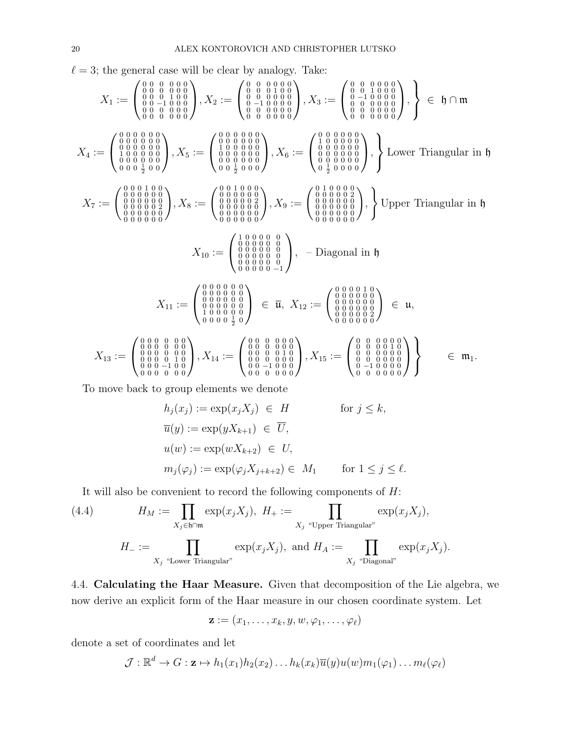$\ell = 3$ ; the general case will be clear by analogy. Take:

$$
X_1 := \begin{pmatrix} 0 & 0 & 0 & 0 & 0 & 0 \\ 0 & 0 & 0 & 1 & 0 & 0 \\ 0 & 0 & 0 & 1 & 0 & 0 \\ 0 & 0 & 0 & 0 & 0 & 0 \\ 0 & 0 & 0 & 0 & 0 & 0 \\ 0 & 0 & 0 & 0 & 0 & 0 \\ 0 & 0 & 0 & 0 & 0 & 0 \\ 0 & 0 & 0 & 0 & 0 & 0 \\ 0 & 0 & 0 & 0 & 0 & 0 \\ 0 & 0 & 0 & 0 & 0 & 0 \\ 0 & 0 & 0 & 0 & 0 & 0 \\ 0 & 0 & 0 & 0 & 0 & 0 \\ 0 & 0 & 0 & 0 & 0 & 0 \\ 0 & 0 & 0 & 0 & 0 & 0 \\ 0 & 0 & 0 & 0 & 0 & 0 \\ 0 & 0 & 0 & 0 & 0 & 0 \\ 0 & 0 & 0 & 0 & 0 & 0 \\ 0 & 0 & 0 & 0 & 0 & 0 \\ 0 & 0 & 0 & 0 & 0 & 0 \\ 0 & 0 & 0 & 0 & 0 & 0 \\ 0 & 0 & 0 & 0 & 0 & 0 \\ 0 & 0 & 0 & 0 & 0 & 0 \\ 0 & 0 & 0 & 0 & 0 & 0 \\ 0 & 0 & 0 & 0 & 0 & 0 \\ 0 & 0 & 0 & 0 & 0 & 0 \\ 0 & 0 & 0 & 0 & 0 & 0 \\ 0 & 0 & 0 & 0 & 0 & 0 \\ 0 & 0 & 0 & 0 & 0 & 0 \\ 0 & 0 & 0 & 0 & 0 & 0 \\ 0 & 0 & 0 & 0 & 0 & 0 \\ 0 & 0 & 0 & 0 & 0 & 0 \\ 0 & 0 & 0 & 0 & 0 & 0 \\ 0 & 0 & 0 & 0 & 0 & 0 \\ 0 & 0 & 0 & 0 & 0 & 0 \\ 0 & 0 & 0 & 0 & 0 & 0 \\ 0 & 0 & 0 & 0 & 0 & 0 \\ 0 & 0 & 0 & 0 & 0 & 0 \\ 0 & 0 & 0 & 0 & 0 & 0 \\ 0 & 0 & 0 & 0 & 0 & 0 \\ 0 & 0 & 0 & 0 & 0 & 0 \\ 0 & 0 & 0 & 0 & 0 & 0 \\ 0 & 0 & 0 & 0
$$

To move back to group elements we denote

$$
h_j(x_j) := \exp(x_j X_j) \in H \quad \text{for } j \le k,
$$
  
\n
$$
\overline{u}(y) := \exp(yX_{k+1}) \in \overline{U},
$$
  
\n
$$
u(w) := \exp(wX_{k+2}) \in U,
$$
  
\n
$$
m_j(\varphi_j) := \exp(\varphi_j X_{j+k+2}) \in M_1 \quad \text{for } 1 \le j \le \ell.
$$

<span id="page-19-1"></span>It will also be convenient to record the following components of  $H$ :

(4.4) 
$$
H_M := \prod_{X_j \in \mathfrak{h} \cap \mathfrak{m}} \exp(x_j X_j), H_+ := \prod_{X_j \text{ "Upper Triangular"} } \exp(x_j X_j),
$$

$$
H_- := \prod_{X_j \text{ "Lower Triangular"} } \exp(x_j X_j), \text{ and } H_A := \prod_{X_j \text{ "Diagonal"} } \exp(x_j X_j).
$$

<span id="page-19-0"></span>4.4. Calculating the Haar Measure. Given that decomposition of the Lie algebra, we now derive an explicit form of the Haar measure in our chosen coordinate system. Let

$$
\mathbf{z} := (x_1, \ldots, x_k, y, w, \varphi_1, \ldots, \varphi_\ell)
$$

denote a set of coordinates and let

$$
\mathcal{J}: \mathbb{R}^d \to G: \mathbf{z} \mapsto h_1(x_1)h_2(x_2) \dots h_k(x_k)\overline{u}(y)u(w)m_1(\varphi_1) \dots m_\ell(\varphi_\ell)
$$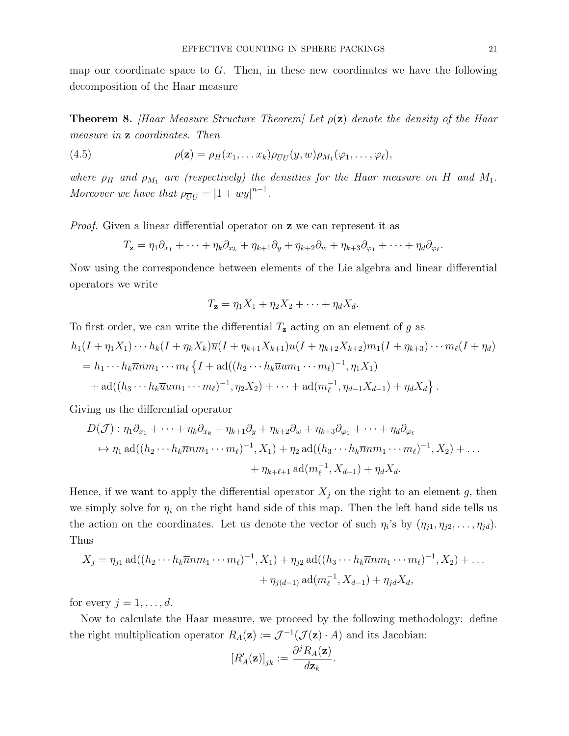map our coordinate space to  $G$ . Then, in these new coordinates we have the following decomposition of the Haar measure

<span id="page-20-1"></span>**Theorem 8.** [Haar Measure Structure Theorem] Let  $\rho(z)$  denote the density of the Haar measure in z coordinates. Then

<span id="page-20-0"></span>(4.5) 
$$
\rho(\mathbf{z}) = \rho_H(x_1, \dots x_k) \rho_{\overline{U}U}(y, w) \rho_{M_1}(\varphi_1, \dots, \varphi_\ell),
$$

where  $\rho_H$  and  $\rho_{M_1}$  are (respectively) the densities for the Haar measure on H and  $M_1$ . Moreover we have that  $\rho_{\overline{U}U} = |1 + w y|^{n-1}$ .

*Proof.* Given a linear differential operator on **z** we can represent it as

$$
T_{\mathbf{z}} = \eta_1 \partial_{x_1} + \cdots + \eta_k \partial_{x_k} + \eta_{k+1} \partial_y + \eta_{k+2} \partial_w + \eta_{k+3} \partial_{\varphi_1} + \cdots + \eta_d \partial_{\varphi_\ell}.
$$

Now using the correspondence between elements of the Lie algebra and linear differential operators we write

$$
T_{\mathbf{z}} = \eta_1 X_1 + \eta_2 X_2 + \cdots + \eta_d X_d.
$$

To first order, we can write the differential  $T_{\mathbf{z}}$  acting on an element of g as

$$
h_1(I + \eta_1 X_1) \cdots h_k(I + \eta_k X_k) \overline{u}(I + \eta_{k+1} X_{k+1}) u(I + \eta_{k+2} X_{k+2}) m_1(I + \eta_{k+3}) \cdots m_\ell (I + \eta_d)
$$
  
=  $h_1 \cdots h_k \overline{n} n m_1 \cdots m_\ell \{I + \text{ad}((h_2 \cdots h_k \overline{u} u m_1 \cdots m_\ell)^{-1}, \eta_1 X_1)$   
+  $\text{ad}((h_3 \cdots h_k \overline{u} u m_1 \cdots m_\ell)^{-1}, \eta_2 X_2) + \cdots + \text{ad}(m_\ell^{-1}, \eta_{d-1} X_{d-1}) + \eta_d X_d \}.$ 

Giving us the differential operator

$$
D(\mathcal{J}): \eta_1 \partial_{x_1} + \cdots + \eta_k \partial_{x_k} + \eta_{k+1} \partial_y + \eta_{k+2} \partial_w + \eta_{k+3} \partial_{\varphi_1} + \cdots + \eta_d \partial_{\varphi_\ell}
$$
  
\n
$$
\mapsto \eta_1 \operatorname{ad}((h_2 \cdots h_k \overline{n} n m_1 \cdots m_\ell)^{-1}, X_1) + \eta_2 \operatorname{ad}((h_3 \cdots h_k \overline{n} n m_1 \cdots m_\ell)^{-1}, X_2) + \cdots
$$
  
\n
$$
+ \eta_{k+\ell+1} \operatorname{ad}(m_\ell^{-1}, X_{d-1}) + \eta_d X_d.
$$

Hence, if we want to apply the differential operator  $X_j$  on the right to an element g, then we simply solve for  $\eta_i$  on the right hand side of this map. Then the left hand side tells us the action on the coordinates. Let us denote the vector of such  $\eta_i$ 's by  $(\eta_{j1}, \eta_{j2}, \dots, \eta_{jd})$ . Thus

$$
X_j = \eta_{j1} \operatorname{ad}((h_2 \cdots h_k \overline{n} n m_1 \cdots m_\ell)^{-1}, X_1) + \eta_{j2} \operatorname{ad}((h_3 \cdots h_k \overline{n} n m_1 \cdots m_\ell)^{-1}, X_2) + \cdots + \eta_{j(d-1)} \operatorname{ad}(m_\ell^{-1}, X_{d-1}) + \eta_{jd} X_d,
$$

for every  $j = 1, \ldots, d$ .

Now to calculate the Haar measure, we proceed by the following methodology: define the right multiplication operator  $R_A(z) := \mathcal{J}^{-1}(\mathcal{J}(z) \cdot A)$  and its Jacobian:

$$
\left[R'_A(\mathbf{z})\right]_{jk} := \frac{\partial^j R_A(\mathbf{z})}{d\mathbf{z}_k}.
$$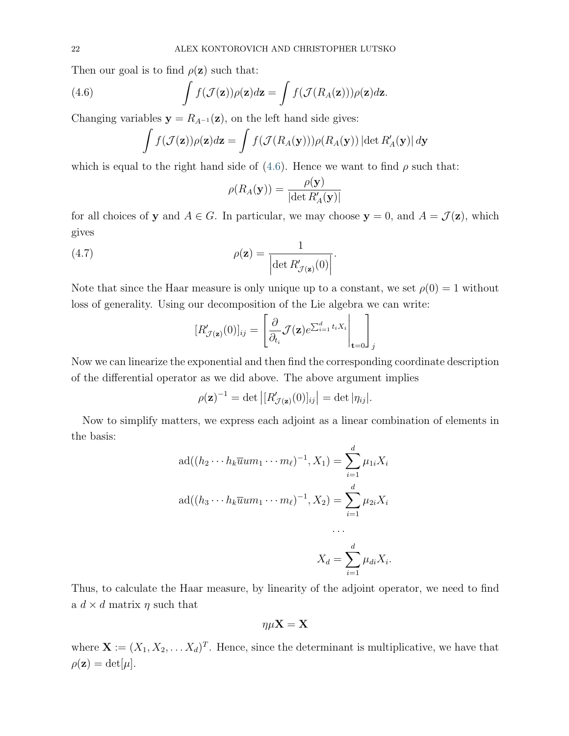Then our goal is to find  $\rho(\mathbf{z})$  such that:

<span id="page-21-0"></span>(4.6) 
$$
\int f(\mathcal{J}(\mathbf{z})) \rho(\mathbf{z}) d\mathbf{z} = \int f(\mathcal{J}(R_A(\mathbf{z}))) \rho(\mathbf{z}) d\mathbf{z}.
$$

Changing variables  $y = R_{A^{-1}}(z)$ , on the left hand side gives:

$$
\int f(\mathcal{J}(\mathbf{z})) \rho(\mathbf{z}) d\mathbf{z} = \int f(\mathcal{J}(R_A(\mathbf{y}))) \rho(R_A(\mathbf{y})) |\det R'_A(\mathbf{y})| d\mathbf{y}
$$

which is equal to the right hand side of  $(4.6)$ . Hence we want to find  $\rho$  such that:

$$
\rho(R_A(\mathbf{y})) = \frac{\rho(\mathbf{y})}{|\det R'_A(\mathbf{y})|}
$$

for all choices of y and  $A \in G$ . In particular, we may choose  $y = 0$ , and  $A = \mathcal{J}(z)$ , which gives

(4.7) 
$$
\rho(\mathbf{z}) = \frac{1}{\left| \det R'_{\mathcal{J}(\mathbf{z})}(0) \right|}.
$$

Note that since the Haar measure is only unique up to a constant, we set  $\rho(0) = 1$  without loss of generality. Using our decomposition of the Lie algebra we can write:

$$
[R'_{\mathcal{J}(\mathbf{z})}(0)]_{ij} = \left[\frac{\partial}{\partial_{t_i}} \mathcal{J}(\mathbf{z}) e^{\sum_{i=1}^d t_i X_i} \Big|_{\mathbf{t}=0}\right]_j
$$

Now we can linearize the exponential and then find the corresponding coordinate description of the differential operator as we did above. The above argument implies

$$
\rho(\mathbf{z})^{-1} = \det |[R'_{\mathcal{J}(\mathbf{z})}(0)]_{ij}| = \det |\eta_{ij}|.
$$

Now to simplify matters, we express each adjoint as a linear combination of elements in the basis:

$$
ad((h_2 \cdots h_k \overline{u} u m_1 \cdots m_\ell)^{-1}, X_1) = \sum_{i=1}^d \mu_{1i} X_i
$$

$$
ad((h_3 \cdots h_k \overline{u} u m_1 \cdots m_\ell)^{-1}, X_2) = \sum_{i=1}^d \mu_{2i} X_i
$$

$$
\cdots
$$

$$
X_d = \sum_{i=1}^d \mu_{di} X_i.
$$

Thus, to calculate the Haar measure, by linearity of the adjoint operator, we need to find a  $d \times d$  matrix  $\eta$  such that

 $\overline{i=1}$ 

$$
\eta\mu\mathbf{X}=\mathbf{X}
$$

where  $\mathbf{X} := (X_1, X_2, \dots, X_d)^T$ . Hence, since the determinant is multiplicative, we have that  $\rho(\mathbf{z}) = \det[\mu].$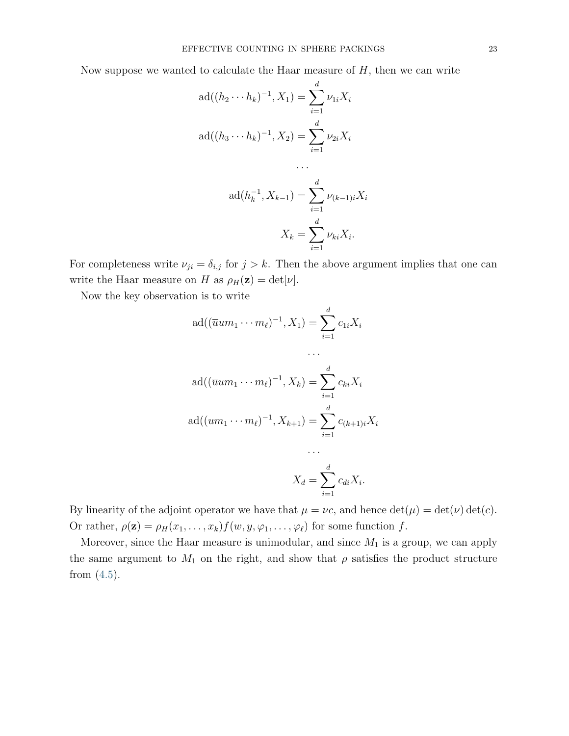Now suppose we wanted to calculate the Haar measure of  $H$ , then we can write

$$
ad((h_2 \cdots h_k)^{-1}, X_1) = \sum_{i=1}^d \nu_{1i} X_i
$$
  
 
$$
ad((h_3 \cdots h_k)^{-1}, X_2) = \sum_{i=1}^d \nu_{2i} X_i
$$

$$
ad(h_k^{-1}, X_{k-1}) = \sum_{i=1}^d \nu_{(k-1)i} X_i
$$

$$
X_k = \sum_{i=1}^d \nu_{ki} X_i.
$$

. . .

For completeness write  $\nu_{ji} = \delta_{i,j}$  for  $j > k$ . Then the above argument implies that one can write the Haar measure on H as  $\rho_H(z) = \det[\nu]$ .

Now the key observation is to write

$$
ad((\overline{u}um_1 \cdots m_\ell)^{-1}, X_1) = \sum_{i=1}^d c_{1i}X_i
$$
  
...  

$$
ad((\overline{u}um_1 \cdots m_\ell)^{-1}, X_k) = \sum_{i=1}^d c_{ki}X_i
$$
  

$$
ad((um_1 \cdots m_\ell)^{-1}, X_{k+1}) = \sum_{i=1}^d c_{(k+1)i}X_i
$$
  
...  

$$
X_d = \sum_{i=1}^d c_{di}X_i.
$$

By linearity of the adjoint operator we have that  $\mu = \nu c$ , and hence  $\det(\mu) = \det(\nu) \det(c)$ . Or rather,  $\rho(\mathbf{z}) = \rho_H(x_1, \ldots, x_k) f(w, y, \varphi_1, \ldots, \varphi_\ell)$  for some function f.

Moreover, since the Haar measure is unimodular, and since  $M_1$  is a group, we can apply the same argument to  $M_1$  on the right, and show that  $\rho$  satisfies the product structure from  $(4.5)$ .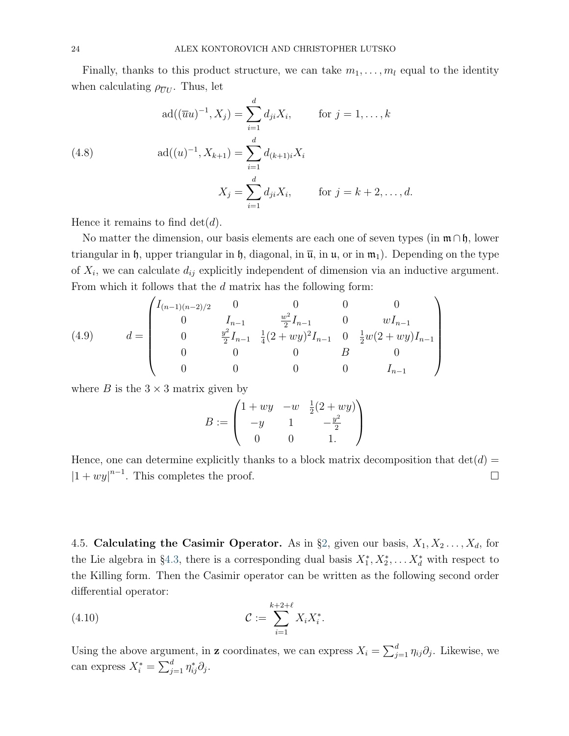Finally, thanks to this product structure, we can take  $m_1, \ldots, m_l$  equal to the identity when calculating  $\rho_{\overline{U}U}$ . Thus, let

<span id="page-23-1"></span>(4.8)  
\n
$$
ad((\overline{u}u)^{-1}, X_j) = \sum_{i=1}^d d_{ji}X_i, \quad \text{for } j = 1, ..., k
$$
\n
$$
ad((u)^{-1}, X_{k+1}) = \sum_{i=1}^d d_{(k+1)i}X_i
$$
\n
$$
X_j = \sum_{i=1}^d d_{ji}X_i, \quad \text{for } j = k+2, ..., d.
$$

Hence it remains to find  $\det(d)$ .

No matter the dimension, our basis elements are each one of seven types (in  $\mathfrak{m} \cap \mathfrak{h}$ , lower triangular in h, upper triangular in h, diagonal, in  $\overline{u}$ , in  $u$ , or in  $m_1$ ). Depending on the type of  $X_i$ , we can calculate  $d_{ij}$  explicitly independent of dimension via an inductive argument. From which it follows that the d matrix has the following form:

<span id="page-23-2"></span>(4.9) 
$$
d = \begin{pmatrix} I_{(n-1)(n-2)/2} & 0 & 0 & 0 & 0 \ 0 & I_{n-1} & \frac{w^2}{2}I_{n-1} & 0 & wI_{n-1} \\ 0 & \frac{y^2}{2}I_{n-1} & \frac{1}{4}(2+wy)^2I_{n-1} & 0 & \frac{1}{2}w(2+wy)I_{n-1} \\ 0 & 0 & 0 & B & 0 \\ 0 & 0 & 0 & 0 & I_{n-1} \end{pmatrix}
$$

where B is the  $3 \times 3$  matrix given by

$$
B := \begin{pmatrix} 1 + wy & -w & \frac{1}{2}(2 + wy) \\ -y & 1 & -\frac{y^2}{2} \\ 0 & 0 & 1. \end{pmatrix}
$$

Hence, one can determine explicitly thanks to a block matrix decomposition that  $det(d)$  $|1 + wy|^{n-1}$ . This completes the proof.

<span id="page-23-0"></span>4.5. Calculating the Casimir Operator. As in §[2,](#page-5-0) given our basis,  $X_1, X_2, \ldots, X_d$ , for the Lie algebra in §[4.3,](#page-18-0) there is a corresponding dual basis  $X_1^*, X_2^*, \ldots X_d^*$  with respect to the Killing form. Then the Casimir operator can be written as the following second order differential operator:

(4.10) 
$$
\mathcal{C} := \sum_{i=1}^{k+2+\ell} X_i X_i^*.
$$

Using the above argument, in z coordinates, we can express  $X_i = \sum_{j=1}^d \eta_{ij} \partial_j$ . Likewise, we can express  $X_i^* = \sum_{j=1}^d \eta_{ij}^* \partial_j$ .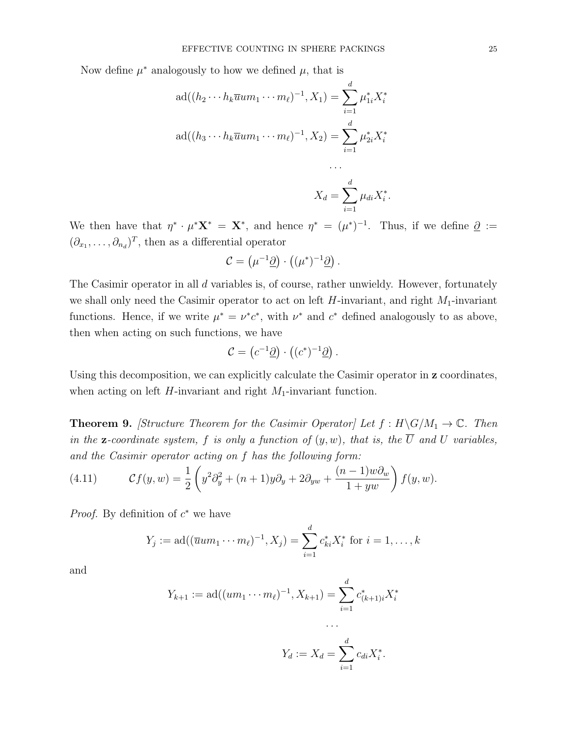Now define  $\mu^*$  analogously to how we defined  $\mu$ , that is

$$
ad((h_2 \cdots h_k \overline{u} u m_1 \cdots m_\ell)^{-1}, X_1) = \sum_{i=1}^d \mu_{1i}^* X_i^*
$$
  

$$
ad((h_3 \cdots h_k \overline{u} u m_1 \cdots m_\ell)^{-1}, X_2) = \sum_{i=1}^d \mu_{2i}^* X_i^*
$$
  
...

$$
X_d = \sum_{i=1}^d \mu_{di} X_i^*.
$$

We then have that  $\eta^* \cdot \mu^* \mathbf{X}^* = \mathbf{X}^*$ , and hence  $\eta^* = (\mu^*)^{-1}$ . Thus, if we define  $\underline{\partial} :=$  $(\partial_{x_1}, \ldots, \partial_{n_d})^T$ , then as a differential operator

$$
\mathcal{C} = (\mu^{-1} \underline{\partial}) \cdot ((\mu^*)^{-1} \underline{\partial}).
$$

The Casimir operator in all d variables is, of course, rather unwieldy. However, fortunately we shall only need the Casimir operator to act on left  $H$ -invariant, and right  $M_1$ -invariant functions. Hence, if we write  $\mu^* = \nu^* c^*$ , with  $\nu^*$  and  $c^*$  defined analogously to as above, then when acting on such functions, we have

$$
\mathcal{C} = \left( c^{-1} \underline{\partial} \right) \cdot \left( (c^*)^{-1} \underline{\partial} \right).
$$

Using this decomposition, we can explicitly calculate the Casimir operator in **z** coordinates, when acting on left  $H$ -invariant and right  $M_1$ -invariant function.

<span id="page-24-1"></span>**Theorem 9.** [Structure Theorem for the Casimir Operator] Let  $f : H \ G/M_1 \to \mathbb{C}$ . Then in the **z**-coordinate system, f is only a function of  $(y, w)$ , that is, the  $\overline{U}$  and U variables, and the Casimir operator acting on f has the following form:

<span id="page-24-0"></span>(4.11) 
$$
\mathcal{C}f(y,w) = \frac{1}{2}\left(y^2\partial_y^2 + (n+1)y\partial_y + 2\partial_{yw} + \frac{(n-1)w\partial_w}{1+yw}\right)f(y,w).
$$

*Proof.* By definition of  $c^*$  we have

$$
Y_j := \text{ad}((\overline{u}um_1 \cdots m_\ell)^{-1}, X_j) = \sum_{i=1}^d c_{ki}^* X_i^*
$$
 for  $i = 1, ..., k$ 

and

$$
Y_{k+1} := \text{ad}((um_1 \cdots m_\ell)^{-1}, X_{k+1}) = \sum_{i=1}^d c^*_{(k+1)i} X_i^*
$$

$$
Y_d := X_d = \sum_{i=1}^d c_{di} X_i^*.
$$

. . .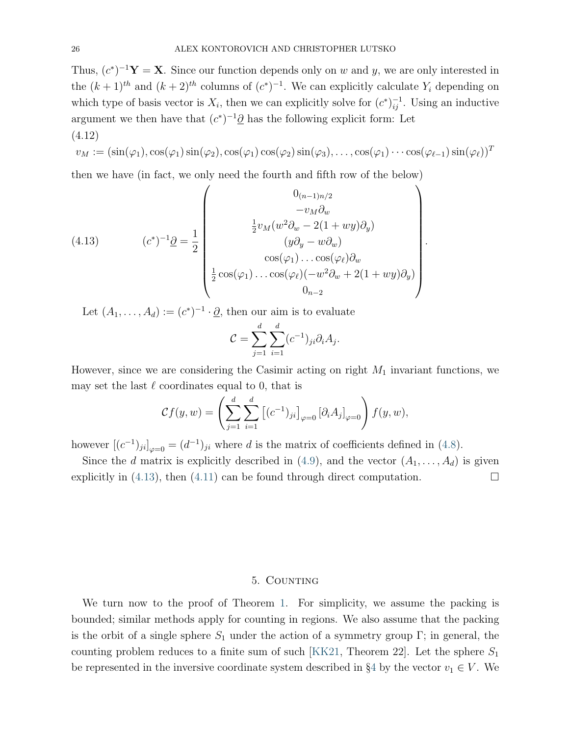Thus,  $(c^*)^{-1}\mathbf{Y} = \mathbf{X}$ . Since our function depends only on w and y, we are only interested in the  $(k+1)$ <sup>th</sup> and  $(k+2)$ <sup>th</sup> columns of  $(c^*)^{-1}$ . We can explicitly calculate  $Y_i$  depending on which type of basis vector is  $X_i$ , then we can explicitly solve for  $(c^*)_{ij}^{-1}$ . Using an inductive argument we then have that  $(c^*)^{-1}\partial$  has the following explicit form: Let (4.12)

<span id="page-25-2"></span>
$$
v_M := (\sin(\varphi_1), \cos(\varphi_1) \sin(\varphi_2), \cos(\varphi_1) \cos(\varphi_2) \sin(\varphi_3), \dots, \cos(\varphi_1) \cdots \cos(\varphi_{\ell-1}) \sin(\varphi_{\ell}))^T
$$

then we have (in fact, we only need the fourth and fifth row of the below)

<span id="page-25-1"></span>(4.13) 
$$
(c^*)^{-1}\underline{\partial} = \frac{1}{2} \begin{pmatrix} 0_{(n-1)n/2} & & \\ & -v_M \partial_w & \\ & \frac{1}{2}v_M(w^2 \partial_w - 2(1 + wy)\partial_y) & \\ & (y\partial_y - w\partial_w) & \\ & \cos(\varphi_1) \dots \cos(\varphi_\ell) \partial_w & \\ \frac{1}{2} \cos(\varphi_1) \dots \cos(\varphi_\ell) (-w^2 \partial_w + 2(1 + wy)\partial_y) & \\ & 0_{n-2} & \end{pmatrix}.
$$

Let  $(A_1, \ldots, A_d) := (c^*)^{-1} \cdot \underline{\partial}$ , then our aim is to evaluate

$$
\mathcal{C} = \sum_{j=1}^d \sum_{i=1}^d (c^{-1})_{ji} \partial_i A_j.
$$

However, since we are considering the Casimir acting on right  $M_1$  invariant functions, we may set the last  $\ell$  coordinates equal to 0, that is

$$
\mathcal{C}f(y,w) = \left(\sum_{j=1}^d \sum_{i=1}^d \left[ (c^{-1})_{ji} \right]_{\varphi=0} \left[ \partial_i A_j \right]_{\varphi=0} \right) f(y,w),
$$

however  $[(c^{-1})_{ji}]_{\varphi=0} = (d^{-1})_{ji}$  where d is the matrix of coefficients defined in [\(4.8\)](#page-23-1).

Since the d matrix is explicitly described in [\(4.9\)](#page-23-2), and the vector  $(A_1, \ldots, A_d)$  is given explicitly in [\(4.13\)](#page-25-1), then [\(4.11\)](#page-24-0) can be found through direct computation.  $\Box$ 

#### 5. COUNTING

<span id="page-25-0"></span>We turn now to the proof of Theorem [1.](#page-1-1) For simplicity, we assume the packing is bounded; similar methods apply for counting in regions. We also assume that the packing is the orbit of a single sphere  $S_1$  under the action of a symmetry group Γ; in general, the counting problem reduces to a finite sum of such [\[KK21,](#page-36-0) Theorem 22]. Let the sphere  $S_1$ be represented in the inversive coordinate system described in §[4](#page-15-0) by the vector  $v_1 \in V$ . We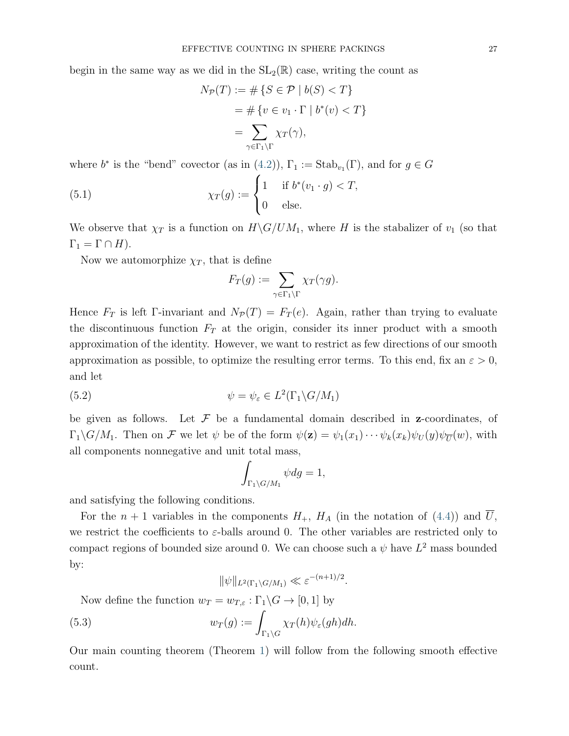begin in the same way as we did in the  $SL_2(\mathbb{R})$  case, writing the count as

$$
N_{\mathcal{P}}(T) := \#\{S \in \mathcal{P} \mid b(S) < T\}
$$
\n
$$
= \#\{v \in v_1 \cdot \Gamma \mid b^*(v) < T\}
$$
\n
$$
= \sum_{\gamma \in \Gamma_1 \backslash \Gamma} \chi_T(\gamma),
$$

where  $b^*$  is the "bend" covector (as in [\(4.2\)](#page-16-0)),  $\Gamma_1 := \text{Stab}_{v_1}(\Gamma)$ , and for  $g \in G$ 

(5.1) 
$$
\chi_T(g) := \begin{cases} 1 & \text{if } b^*(v_1 \cdot g) < T, \\ 0 & \text{else.} \end{cases}
$$

We observe that  $\chi_T$  is a function on  $H\backslash G/UM_1$ , where H is the stabalizer of  $v_1$  (so that  $\Gamma_1 = \Gamma \cap H$ ).

Now we automorphize  $\chi_T$ , that is define

$$
F_T(g) := \sum_{\gamma \in \Gamma_1 \backslash \Gamma} \chi_T(\gamma g).
$$

Hence  $F_T$  is left Γ-invariant and  $N_P(T) = F_T(e)$ . Again, rather than trying to evaluate the discontinuous function  $F_T$  at the origin, consider its inner product with a smooth approximation of the identity. However, we want to restrict as few directions of our smooth approximation as possible, to optimize the resulting error terms. To this end, fix an  $\varepsilon > 0$ , and let

(5.2) 
$$
\psi = \psi_{\varepsilon} \in L^2(\Gamma_1 \backslash G/M_1)
$$

be given as follows. Let  $\mathcal F$  be a fundamental domain described in **z**-coordinates, of  $\Gamma_1 \backslash G/M_1$ . Then on F we let  $\psi$  be of the form  $\psi(\mathbf{z}) = \psi_1(x_1) \cdots \psi_k(x_k) \psi_U(y) \psi_{\overline{U}}(w)$ , with all components nonnegative and unit total mass,

$$
\int_{\Gamma_1 \backslash G/M_1} \psi dg = 1,
$$

and satisfying the following conditions.

For the  $n + 1$  variables in the components  $H_+$ ,  $H_A$  (in the notation of [\(4.4\)](#page-19-1)) and U, we restrict the coefficients to  $\varepsilon$ -balls around 0. The other variables are restricted only to compact regions of bounded size around 0. We can choose such a  $\psi$  have  $L^2$  mass bounded by:

$$
\|\psi\|_{L^2(\Gamma_1\backslash G/M_1)} \ll \varepsilon^{-(n+1)/2}.
$$

Now define the function  $w_T = w_{T,\varepsilon} : \Gamma_1 \backslash G \to [0,1]$  by

(5.3) 
$$
w_T(g) := \int_{\Gamma_1 \backslash G} \chi_T(h) \psi_{\varepsilon}(gh) dh.
$$

Our main counting theorem (Theorem [1\)](#page-1-1) will follow from the following smooth effective count.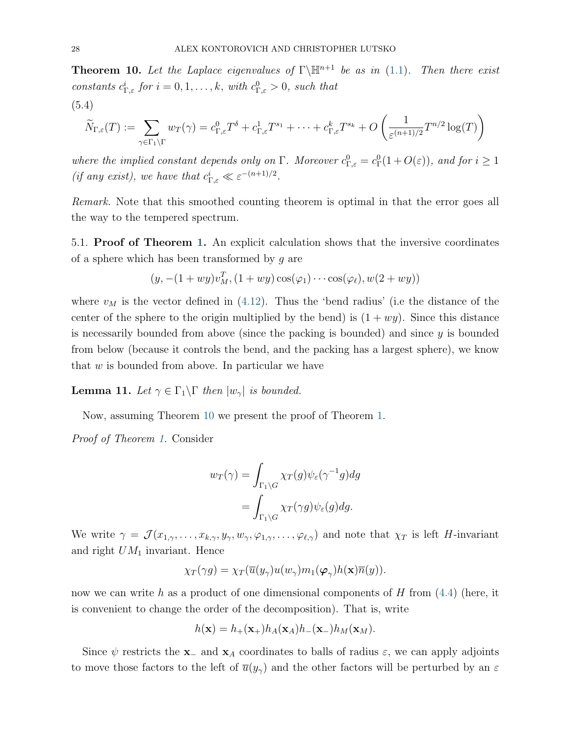<span id="page-27-0"></span>**Theorem 10.** Let the Laplace eigenvalues of  $\Gamma\backslash\mathbb{H}^{n+1}$  be as in [\(1.1\)](#page-1-2). Then there exist constants  $c_{\Gamma,\varepsilon}^i$  for  $i=0,1,\ldots,k$ , with  $c_{\Gamma,\varepsilon}^0>0$ , such that

(5.4)

$$
\widetilde{N}_{\Gamma,\varepsilon}(T) := \sum_{\gamma \in \Gamma_1 \backslash \Gamma} w_T(\gamma) = c_{\Gamma,\varepsilon}^0 T^{\delta} + c_{\Gamma,\varepsilon}^1 T^{s_1} + \dots + c_{\Gamma,\varepsilon}^k T^{s_k} + O\left(\frac{1}{\varepsilon^{(n+1)/2}} T^{n/2} \log(T)\right)
$$

where the implied constant depends only on  $\Gamma$ . Moreover  $c_{\Gamma,\varepsilon}^0 = c_{\Gamma}^0(1+O(\varepsilon))$ , and for  $i \geq 1$ (if any exist), we have that  $c_{\Gamma,\varepsilon}^i \ll \varepsilon^{-(n+1)/2}$ .

Remark. Note that this smoothed counting theorem is optimal in that the error goes all the way to the tempered spectrum.

5.1. Proof of Theorem [1.](#page-1-1) An explicit calculation shows that the inversive coordinates of a sphere which has been transformed by  $q$  are

$$
(y, -(1+wy)vMT, (1+wy)cos(φ1) \cdots cos(φl), w(2+wy))
$$

where  $v_M$  is the vector defined in [\(4.12\)](#page-25-2). Thus the 'bend radius' (i.e the distance of the center of the sphere to the origin multiplied by the bend) is  $(1 + wy)$ . Since this distance is necessarily bounded from above (since the packing is bounded) and since  $y$  is bounded from below (because it controls the bend, and the packing has a largest sphere), we know that  $w$  is bounded from above. In particular we have

<span id="page-27-1"></span>**Lemma 11.** Let  $\gamma \in \Gamma_1 \backslash \Gamma$  then  $|w_{\gamma}|$  is bounded.

Now, assuming Theorem [10](#page-27-0) we present the proof of Theorem [1.](#page-1-1)

Proof of Theorem [1.](#page-1-1) Consider

$$
w_T(\gamma) = \int_{\Gamma_1 \backslash G} \chi_T(g) \psi_{\varepsilon}(\gamma^{-1}g) dg
$$
  
= 
$$
\int_{\Gamma_1 \backslash G} \chi_T(\gamma g) \psi_{\varepsilon}(g) dg.
$$

We write  $\gamma = \mathcal{J}(x_{1,\gamma},\ldots,x_{k,\gamma},y_{\gamma},w_{\gamma},\varphi_{1,\gamma},\ldots,\varphi_{\ell,\gamma})$  and note that  $\chi_T$  is left H-invariant and right  $UM_1$  invariant. Hence

$$
\chi_T(\gamma g) = \chi_T(\overline{u}(y_\gamma)u(w_\gamma)m_1(\boldsymbol{\varphi}_{\gamma})h(\mathbf{x})\overline{n}(y)).
$$

now we can write h as a product of one dimensional components of H from  $(4.4)$  (here, it is convenient to change the order of the decomposition). That is, write

$$
h(\mathbf{x}) = h_{+}(\mathbf{x}_{+})h_{A}(\mathbf{x}_{A})h_{-}(\mathbf{x}_{-})h_{M}(\mathbf{x}_{M}).
$$

Since  $\psi$  restricts the **x**<sub>−</sub> and **x**<sub>A</sub> coordinates to balls of radius  $\varepsilon$ , we can apply adjoints to move those factors to the left of  $\bar{u}(y_\gamma)$  and the other factors will be perturbed by an  $\varepsilon$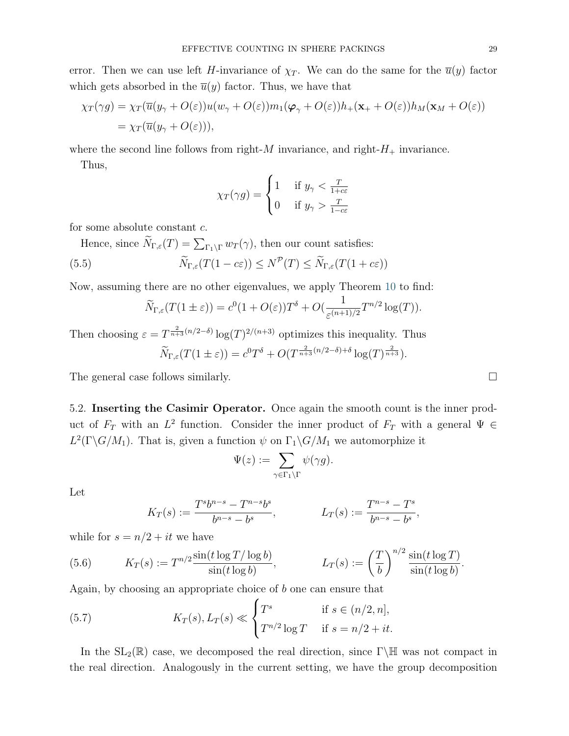$$
\chi_T(\gamma g) = \chi_T(\overline{u}(y_\gamma + O(\varepsilon))u(w_\gamma + O(\varepsilon))m_1(\varphi_\gamma + O(\varepsilon))h_+(\mathbf{x}_+ + O(\varepsilon))h_M(\mathbf{x}_M + O(\varepsilon))
$$
  
=  $\chi_T(\overline{u}(y_\gamma + O(\varepsilon))),$ 

where the second line follows from right- $M$  invariance, and right- $H_+$  invariance.

Thus,

$$
\chi_T(\gamma g) = \begin{cases} 1 & \text{if } y_\gamma < \frac{T}{1 + c\varepsilon} \\ 0 & \text{if } y_\gamma > \frac{T}{1 - c\varepsilon} \end{cases}
$$

for some absolute constant c.

Hence, since  $N_{\Gamma,\varepsilon}(T) = \sum_{\Gamma_1\backslash\Gamma} w_T(\gamma)$ , then our count satisfies:

<span id="page-28-1"></span>(5.5) 
$$
\widetilde{N}_{\Gamma,\varepsilon}(T(1-c\varepsilon)) \leq N^{\mathcal{P}}(T) \leq \widetilde{N}_{\Gamma,\varepsilon}(T(1+c\varepsilon))
$$

Now, assuming there are no other eigenvalues, we apply Theorem [10](#page-27-0) to find:

$$
\widetilde{N}_{\Gamma,\varepsilon}(T(1\pm\varepsilon))=c^0(1+O(\varepsilon))T^{\delta}+O(\frac{1}{\varepsilon^{(n+1)/2}}T^{n/2}\log(T)).
$$

Then choosing  $\varepsilon = T^{\frac{2}{n+3}(n/2-\delta)} \log(T)^{2/(n+3)}$  optimizes this inequality. Thus  $\widetilde{N}_{\Gamma,\varepsilon}(T(1\pm\varepsilon)) = c^0T^{\delta} + O(T^{\frac{2}{n+3}(n/2-\delta)+\delta}\log(T)^{\frac{2}{n+3}}).$ 

The general case follows similarly.

5.2. Inserting the Casimir Operator. Once again the smooth count is the inner product of  $F_T$  with an  $L^2$  function. Consider the inner product of  $F_T$  with a general  $\Psi \in$  $L^2(\Gamma \backslash G/M_1)$ . That is, given a function  $\psi$  on  $\Gamma_1 \backslash G/M_1$  we automorphize it

$$
\Psi(z):=\sum_{\gamma\in\Gamma_1\backslash\Gamma}\psi(\gamma g).
$$

Let

$$
K_T(s) := \frac{T^s b^{n-s} - T^{n-s} b^s}{b^{n-s} - b^s}, \qquad L_T(s) := \frac{T^{n-s} - T^s}{b^{n-s} - b^s},
$$

while for  $s = n/2 + it$  we have

<span id="page-28-0"></span>(5.6) 
$$
K_T(s) := T^{n/2} \frac{\sin(t \log T / \log b)}{\sin(t \log b)}, \qquad L_T(s) := \left(\frac{T}{b}\right)^{n/2} \frac{\sin(t \log T)}{\sin(t \log b)}.
$$

Again, by choosing an appropriate choice of b one can ensure that

<span id="page-28-2"></span>(5.7) 
$$
K_T(s), L_T(s) \ll \begin{cases} T^s & \text{if } s \in (n/2, n], \\ T^{n/2} \log T & \text{if } s = n/2 + it. \end{cases}
$$

In the  $SL_2(\mathbb{R})$  case, we decomposed the real direction, since Γ\H was not compact in the real direction. Analogously in the current setting, we have the group decomposition

$$
\qquad \qquad \Box
$$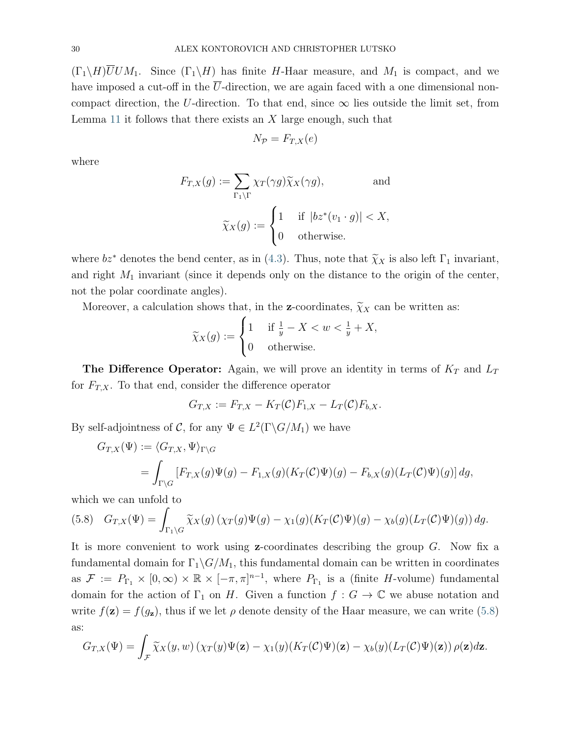$(\Gamma_1 \backslash H)$ UUM<sub>1</sub>. Since  $(\Gamma_1 \backslash H)$  has finite H-Haar measure, and M<sub>1</sub> is compact, and we have imposed a cut-off in the  $\overline{U}$ -direction, we are again faced with a one dimensional noncompact direction, the U-direction. To that end, since  $\infty$  lies outside the limit set, from Lemma [11](#page-27-1) it follows that there exists an  $X$  large enough, such that

$$
N_{\mathcal{P}} = F_{T,X}(e)
$$

where

$$
F_{T,X}(g) := \sum_{\Gamma_1 \backslash \Gamma} \chi_T(\gamma g) \widetilde{\chi}_X(\gamma g), \quad \text{and}
$$

$$
\widetilde{\chi}_X(g) := \begin{cases} 1 & \text{if } |bz^*(v_1 \cdot g)| < X, \\ 0 & \text{otherwise.} \end{cases}
$$

where  $bz^*$  denotes the bend center, as in [\(4.3\)](#page-16-1). Thus, note that  $\widetilde{\chi}_X$  is also left  $\Gamma_1$  invariant, and right  $M_1$  invariant (since it depends only on the distance to the origin of the center, not the polar coordinate angles).

Moreover, a calculation shows that, in the **z**-coordinates,  $\widetilde{\chi}_X$  can be written as:

$$
\widetilde{\chi}_X(g) := \begin{cases} 1 & \text{if } \frac{1}{y} - X < w < \frac{1}{y} + X, \\ 0 & \text{otherwise.} \end{cases}
$$

The Difference Operator: Again, we will prove an identity in terms of  $K_T$  and  $L_T$ for  $F_{T,X}$ . To that end, consider the difference operator

$$
G_{T,X} := F_{T,X} - K_T(\mathcal{C})F_{1,X} - L_T(\mathcal{C})F_{b,X}.
$$

By self-adjointness of C, for any  $\Psi \in L^2(\Gamma \backslash G/M_1)$  we have

$$
G_{T,X}(\Psi) := \langle G_{T,X}, \Psi \rangle_{\Gamma \backslash G}
$$
  
= 
$$
\int_{\Gamma \backslash G} [F_{T,X}(g)\Psi(g) - F_{1,X}(g)(K_T(\mathcal{C})\Psi)(g) - F_{b,X}(g)(L_T(\mathcal{C})\Psi)(g)] dg,
$$

which we can unfold to

<span id="page-29-0"></span>(5.8) 
$$
G_{T,X}(\Psi) = \int_{\Gamma_1 \backslash G} \widetilde{\chi}_X(g) \left( \chi_T(g) \Psi(g) - \chi_1(g) (K_T(\mathcal{C}) \Psi)(g) - \chi_b(g) (L_T(\mathcal{C}) \Psi)(g) \right) dg.
$$

It is more convenient to work using  $z$ -coordinates describing the group  $G$ . Now fix a fundamental domain for  $\Gamma_1 \backslash G/M_1$ , this fundamental domain can be written in coordinates as  $\mathcal{F} := P_{\Gamma_1} \times [0, \infty) \times \mathbb{R} \times [-\pi, \pi]^{n-1}$ , where  $P_{\Gamma_1}$  is a (finite H-volume) fundamental domain for the action of  $\Gamma_1$  on H. Given a function  $f: G \to \mathbb{C}$  we abuse notation and write  $f(\mathbf{z}) = f(g_{\mathbf{z}})$ , thus if we let  $\rho$  denote density of the Haar measure, we can write [\(5.8\)](#page-29-0) as:

$$
G_{T,X}(\Psi) = \int_{\mathcal{F}} \widetilde{\chi}_X(y,w) \left( \chi_T(y) \Psi(\mathbf{z}) - \chi_1(y) (K_T(\mathcal{C})\Psi)(\mathbf{z}) - \chi_b(y) (L_T(\mathcal{C})\Psi)(\mathbf{z}) \right) \rho(\mathbf{z}) d\mathbf{z}.
$$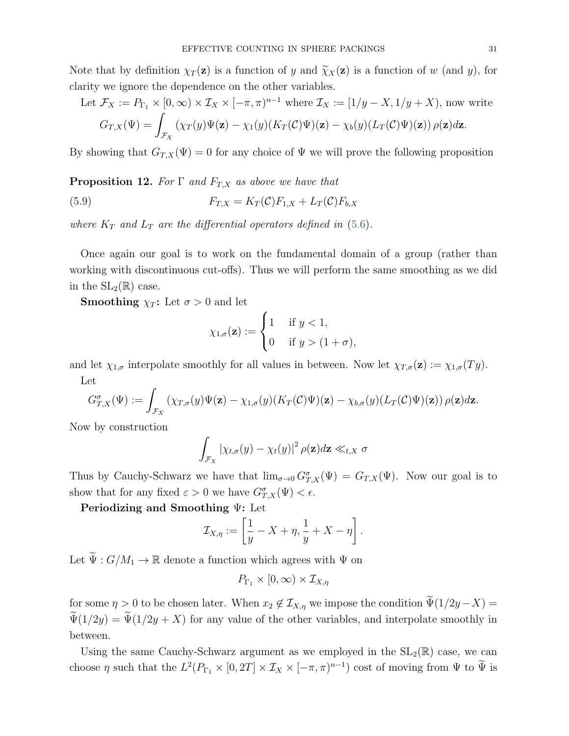Note that by definition  $\chi_T(z)$  is a function of y and  $\tilde{\chi}_X(z)$  is a function of w (and y), for clarity we ignore the dependence on the other variables.

Let 
$$
\mathcal{F}_X := P_{\Gamma_1} \times [0, \infty) \times \mathcal{I}_X \times [-\pi, \pi)^{n-1}
$$
 where  $\mathcal{I}_X := [1/y - X, 1/y + X)$ , now write  
\n
$$
G_{T,X}(\Psi) = \int_{\mathcal{F}_X} (\chi_T(y)\Psi(\mathbf{z}) - \chi_1(y)(K_T(\mathcal{C})\Psi)(\mathbf{z}) - \chi_b(y)(L_T(\mathcal{C})\Psi)(\mathbf{z})) \rho(\mathbf{z}) d\mathbf{z}.
$$

By showing that  $G_{T,X}(\Psi) = 0$  for any choice of  $\Psi$  we will prove the following proposition

<span id="page-30-0"></span>**Proposition 12.** For  $\Gamma$  and  $F_{T,X}$  as above we have that

(5.9) 
$$
F_{T,X} = K_T(\mathcal{C})F_{1,X} + L_T(\mathcal{C})F_{b,X}
$$

where  $K_T$  and  $L_T$  are the differential operators defined in [\(5.6\)](#page-28-0).

Once again our goal is to work on the fundamental domain of a group (rather than working with discontinuous cut-offs). Thus we will perform the same smoothing as we did in the  $SL_2(\mathbb{R})$  case.

**Smoothing**  $\chi_T$ : Let  $\sigma > 0$  and let

$$
\chi_{1,\sigma}(\mathbf{z}) := \begin{cases} 1 & \text{if } y < 1, \\ 0 & \text{if } y > (1 + \sigma), \end{cases}
$$

and let  $\chi_{1,\sigma}$  interpolate smoothly for all values in between. Now let  $\chi_{T,\sigma}(\mathbf{z}) := \chi_{1,\sigma}(Ty)$ . Let

$$
G_{T,X}^{\sigma}(\Psi) := \int_{\mathcal{F}_X} (\chi_{T,\sigma}(y)\Psi(\mathbf{z}) - \chi_{1,\sigma}(y)(K_T(\mathcal{C})\Psi)(\mathbf{z}) - \chi_{b,\sigma}(y)(L_T(\mathcal{C})\Psi)(\mathbf{z})) \rho(\mathbf{z}) d\mathbf{z}.
$$

Now by construction

$$
\int_{\mathcal{F}_X} |\chi_{t,\sigma}(y) - \chi_t(y)|^2 \, \rho(\mathbf{z}) d\mathbf{z} \ll_{t,X} \sigma
$$

Thus by Cauchy-Schwarz we have that  $\lim_{\sigma\to 0} G_{T,X}^{\sigma}(\Psi) = G_{T,X}(\Psi)$ . Now our goal is to show that for any fixed  $\varepsilon > 0$  we have  $G_{T,X}^{\sigma}(\Psi) < \epsilon$ .

Periodizing and Smoothing Ψ: Let

$$
\mathcal{I}_{X,\eta} := \left[\frac{1}{y} - X + \eta, \frac{1}{y} + X - \eta\right].
$$

Let  $\widetilde{\Psi}: G/M_1 \to \mathbb{R}$  denote a function which agrees with  $\Psi$  on

$$
P_{\Gamma_1} \times [0, \infty) \times \mathcal{I}_{X, \eta}
$$

for some  $\eta > 0$  to be chosen later. When  $x_2 \notin \mathcal{I}_{X,\eta}$  we impose the condition  $\Psi(1/2y-X) =$  $\Psi(1/2y) = \Psi(1/2y + X)$  for any value of the other variables, and interpolate smoothly in between.

Using the same Cauchy-Schwarz argument as we employed in the  $SL_2(\mathbb{R})$  case, we can choose  $\eta$  such that the  $L^2(P_{\Gamma_1} \times [0, 2T] \times \mathcal{I}_X \times [-\pi, \pi)^{n-1})$  cost of moving from  $\Psi$  to  $\tilde{\Psi}$  is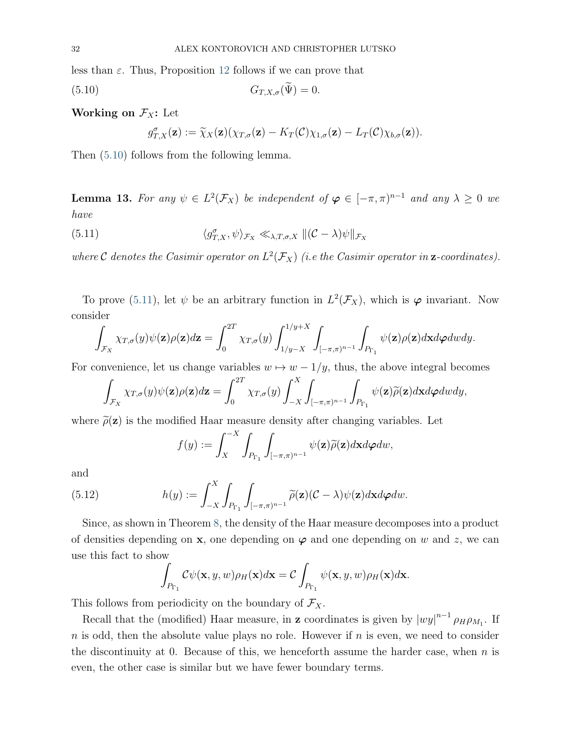<span id="page-31-0"></span>less than  $\varepsilon$ . Thus, Proposition [12](#page-30-0) follows if we can prove that

$$
(5.10) \t G_{T,X,\sigma}(\Psi) = 0.
$$

Working on  $\mathcal{F}_X$ : Let

$$
g_{T,X}^{\sigma}(\mathbf{z}) := \widetilde{\chi}_X(\mathbf{z}) (\chi_{T,\sigma}(\mathbf{z}) - K_T(\mathcal{C}) \chi_{1,\sigma}(\mathbf{z}) - L_T(\mathcal{C}) \chi_{b,\sigma}(\mathbf{z})).
$$

Then [\(5.10\)](#page-31-0) follows from the following lemma.

<span id="page-31-2"></span>**Lemma 13.** For any  $\psi \in L^2(\mathcal{F}_X)$  be independent of  $\varphi \in [-\pi, \pi)^{n-1}$  and any  $\lambda \geq 0$  we have

<span id="page-31-1"></span>(5.11) 
$$
\langle g_{T,X}^{\sigma}, \psi \rangle_{\mathcal{F}_X} \ll_{\lambda, T, \sigma, X} ||(\mathcal{C} - \lambda)\psi||_{\mathcal{F}_X}
$$

where C denotes the Casimir operator on  $L^2(\mathcal{F}_X)$  (i.e the Casimir operator in **z**-coordinates).

To prove [\(5.11\)](#page-31-1), let  $\psi$  be an arbitrary function in  $L^2(\mathcal{F}_X)$ , which is  $\varphi$  invariant. Now consider

$$
\int_{\mathcal{F}_X} \chi_{T,\sigma}(y)\psi(\mathbf{z})\rho(\mathbf{z})d\mathbf{z} = \int_0^{2T} \chi_{T,\sigma}(y) \int_{1/y-X}^{1/y+X} \int_{[-\pi,\pi)^{n-1}} \int_{P_{\Gamma_1}} \psi(\mathbf{z})\rho(\mathbf{z})d\mathbf{x}d\varphi dwdy.
$$

For convenience, let us change variables  $w \mapsto w - 1/y$ , thus, the above integral becomes

$$
\int_{\mathcal{F}_X} \chi_{T,\sigma}(y)\psi(\mathbf{z})\rho(\mathbf{z})d\mathbf{z} = \int_0^{2T} \chi_{T,\sigma}(y) \int_{-X}^X \int_{[-\pi,\pi)^{n-1}} \int_{P_{\Gamma_1}} \psi(\mathbf{z})\widetilde{\rho}(\mathbf{z})d\mathbf{x}d\varphi dwdy,
$$

where  $\tilde{\rho}(z)$  is the modified Haar measure density after changing variables. Let

$$
f(y) := \int_X^{-X} \int_{P_{\Gamma_1}} \int_{[-\pi,\pi)^{n-1}} \psi(\mathbf{z}) \widetilde{\rho}(\mathbf{z}) d\mathbf{x} d\boldsymbol{\varphi} d\boldsymbol{w},
$$

and

(5.12) 
$$
h(y) := \int_{-X}^{X} \int_{P_{\Gamma_1}} \int_{[-\pi,\pi)^{n-1}} \widetilde{\rho}(\mathbf{z}) (\mathcal{C} - \lambda) \psi(\mathbf{z}) d\mathbf{x} d\boldsymbol{\varphi} d\boldsymbol{w}.
$$

Since, as shown in Theorem [8,](#page-20-1) the density of the Haar measure decomposes into a product of densities depending on  $x$ , one depending on  $\varphi$  and one depending on w and z, we can use this fact to show

$$
\int_{P_{\Gamma_1}} C\psi(\mathbf{x}, y, w)\rho_H(\mathbf{x})d\mathbf{x} = C \int_{P_{\Gamma_1}} \psi(\mathbf{x}, y, w)\rho_H(\mathbf{x})d\mathbf{x}.
$$

This follows from periodicity on the boundary of  $\mathcal{F}_X$ .

Recall that the (modified) Haar measure, in **z** coordinates is given by  $|wy|^{n-1} \rho_H \rho_{M_1}$ . If  $n$  is odd, then the absolute value plays no role. However if  $n$  is even, we need to consider the discontinuity at 0. Because of this, we henceforth assume the harder case, when  $n$  is even, the other case is similar but we have fewer boundary terms.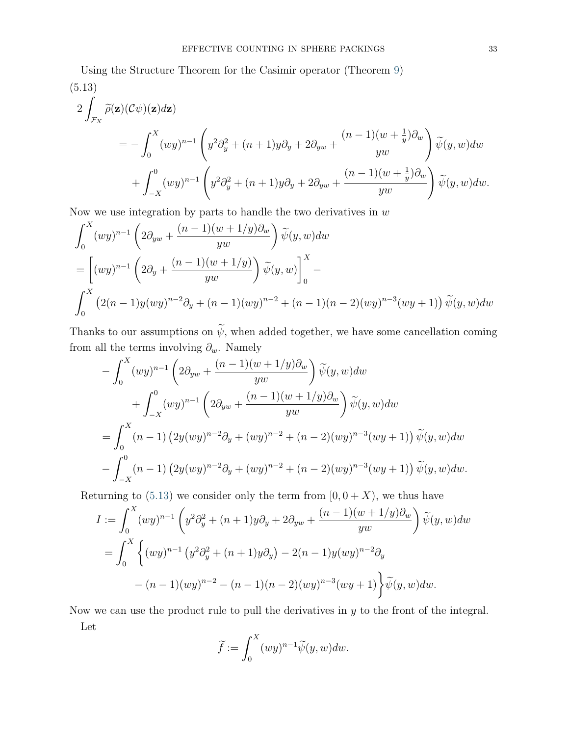<span id="page-32-0"></span>Using the Structure Theorem for the Casimir operator (Theorem [9\)](#page-24-1) (5.13)

$$
2\int_{\mathcal{F}_X} \widetilde{\rho}(\mathbf{z})(\mathcal{C}\psi)(\mathbf{z})d\mathbf{z}
$$
  
=  $-\int_0^X (wy)^{n-1} \left(y^2\partial_y^2 + (n+1)y\partial_y + 2\partial_{yw} + \frac{(n-1)(w+\frac{1}{y})\partial_w}{yw}\right)\widetilde{\psi}(y, w)dw$   
+  $\int_{-X}^0 (wy)^{n-1} \left(y^2\partial_y^2 + (n+1)y\partial_y + 2\partial_{yw} + \frac{(n-1)(w+\frac{1}{y})\partial_w}{yw}\right)\widetilde{\psi}(y, w)dw.$ 

Now we use integration by parts to handle the two derivatives in  $w$ 

$$
\int_0^X (wy)^{n-1} \left( 2\partial_{yw} + \frac{(n-1)(w+1/y)\partial_w}{yw} \right) \widetilde{\psi}(y, w) dw
$$
  
=  $\left[ (wy)^{n-1} \left( 2\partial_y + \frac{(n-1)(w+1/y)}{yw} \right) \widetilde{\psi}(y, w) \right]_0^X$   

$$
\int_0^X \left( 2(n-1)y(wy)^{n-2}\partial_y + (n-1)(wy)^{n-2} + (n-1)(n-2)(wy)^{n-3}(wy+1) \right) \widetilde{\psi}(y, w) dw
$$

Thanks to our assumptions on  $\widetilde{\psi}$ , when added together, we have some cancellation coming from all the terms involving  $\partial_w$ . Namely

$$
- \int_0^X (wy)^{n-1} \left( 2\partial_{yw} + \frac{(n-1)(w+1/y)\partial_w}{yw} \right) \widetilde{\psi}(y, w) dw
$$
  
+ 
$$
\int_{-X}^0 (wy)^{n-1} \left( 2\partial_{yw} + \frac{(n-1)(w+1/y)\partial_w}{yw} \right) \widetilde{\psi}(y, w) dw
$$
  
= 
$$
\int_0^X (n-1) \left( 2y(wy)^{n-2}\partial_y + (wy)^{n-2} + (n-2)(wy)^{n-3}(wy+1) \right) \widetilde{\psi}(y, w) dw
$$
  
- 
$$
\int_{-X}^0 (n-1) \left( 2y(wy)^{n-2}\partial_y + (wy)^{n-2} + (n-2)(wy)^{n-3}(wy+1) \right) \widetilde{\psi}(y, w) dw.
$$

Returning to [\(5.13\)](#page-32-0) we consider only the term from  $[0, 0 + X)$ , we thus have

$$
I := \int_0^X (wy)^{n-1} \left( y^2 \partial_y^2 + (n+1)y \partial_y + 2\partial_{yw} + \frac{(n-1)(w+1/y)\partial_w}{yw} \right) \widetilde{\psi}(y, w) dw
$$
  
= 
$$
\int_0^X \left\{ (wy)^{n-1} \left( y^2 \partial_y^2 + (n+1)y \partial_y \right) - 2(n-1)y (wy)^{n-2} \partial_y \right\}
$$
  

$$
- (n-1)(wy)^{n-2} - (n-1)(n-2)(wy)^{n-3}(wy+1) \left\{ \widetilde{\psi}(y, w) dw \right\}
$$

Now we can use the product rule to pull the derivatives in  $y$  to the front of the integral. Let

$$
\widetilde{f}:=\int_0^X (wy)^{n-1}\widetilde{\psi}(y,w)dw.
$$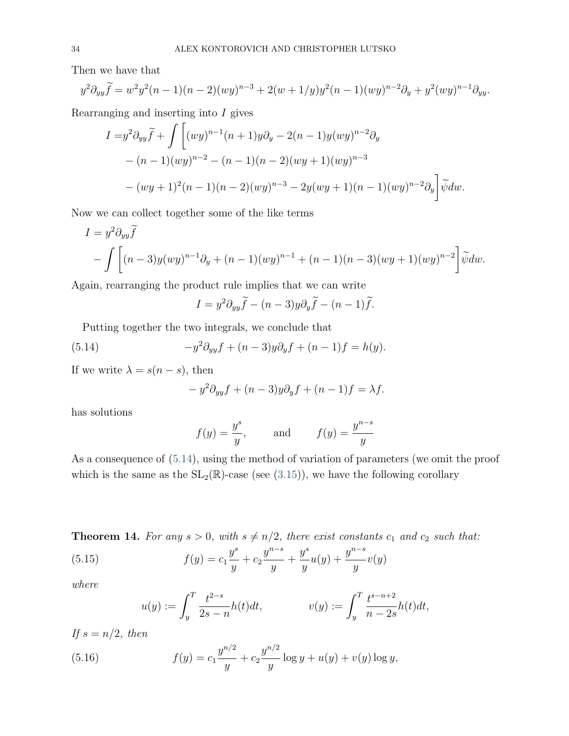Then we have that

$$
y^{2} \partial_{yy} \widetilde{f} = w^{2} y^{2} (n-1)(n-2)(wy)^{n-3} + 2(w+1/y) y^{2} (n-1)(wy)^{n-2} \partial_{y} + y^{2} (wy)^{n-1} \partial_{yy}.
$$

Rearranging and inserting into  $I$  gives

$$
I = y^2 \partial_{yy} \widetilde{f} + \int \left[ (wy)^{n-1} (n+1) y \partial_y - 2(n-1) y (wy)^{n-2} \partial_y \right. - (n-1) (wy)^{n-2} - (n-1)(n-2) (wy+1) (wy)^{n-3} - (wy+1)^2 (n-1)(n-2) (wy)^{n-3} - 2y (wy+1)(n-1) (wy)^{n-2} \partial_y \left[ \widetilde{\psi} dw \right].
$$

Now we can collect together some of the like terms

$$
I = y^{2} \partial_{yy} \widetilde{f}
$$
  
-  $\int \left[ (n-3)y (wy)^{n-1} \partial_{y} + (n-1)(wy)^{n-1} + (n-1)(n-3)(wy+1)(wy)^{n-2} \right] \widetilde{\psi} dw.$ 

Again, rearranging the product rule implies that we can write

$$
I = y^2 \partial_{yy} \widetilde{f} - (n-3)y \partial_y \widetilde{f} - (n-1)\widetilde{f}.
$$

Putting together the two integrals, we conclude that

<span id="page-33-0"></span>(5.14) 
$$
-y^2 \partial_{yy} f + (n-3)y \partial_y f + (n-1)f = h(y).
$$

If we write  $\lambda = s(n - s)$ , then

$$
-y^2 \partial_{yy} f + (n-3)y \partial_y f + (n-1)f = \lambda f.
$$

has solutions

$$
f(y) = \frac{y^s}{y}
$$
, and  $f(y) = \frac{y^{n-s}}{y}$ 

As a consequence of [\(5.14\)](#page-33-0), using the method of variation of parameters (we omit the proof which is the same as the  $SL_2(\mathbb{R})$ -case (see [\(3.15\)](#page-12-3)), we have the following corollary

<span id="page-33-1"></span>**Theorem 14.** For any  $s > 0$ , with  $s \neq n/2$ , there exist constants  $c_1$  and  $c_2$  such that:

(5.15) 
$$
f(y) = c_1 \frac{y^s}{y} + c_2 \frac{y^{n-s}}{y} + \frac{y^s}{y} u(y) + \frac{y^{n-s}}{y} v(y)
$$

where

$$
u(y) := \int_{y}^{T} \frac{t^{2-s}}{2s - n} h(t) dt, \qquad v(y) := \int_{y}^{T} \frac{t^{s - n + 2}}{n - 2s} h(t) dt,
$$

If  $s = n/2$ , then

(5.16) 
$$
f(y) = c_1 \frac{y^{n/2}}{y} + c_2 \frac{y^{n/2}}{y} \log y + u(y) + v(y) \log y,
$$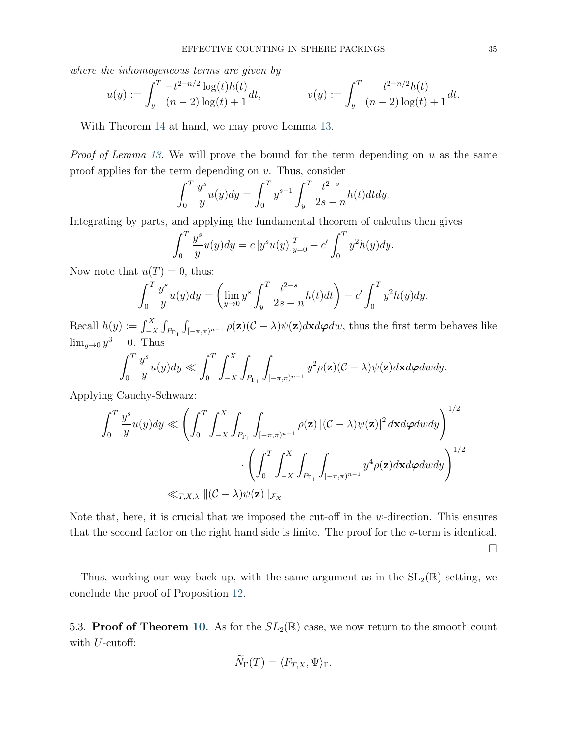where the inhomogeneous terms are given by

$$
u(y) := \int_{y}^{T} \frac{-t^{2-n/2} \log(t)h(t)}{(n-2) \log(t) + 1} dt, \qquad v(y) := \int_{y}^{T} \frac{t^{2-n/2}h(t)}{(n-2) \log(t) + 1} dt.
$$

With Theorem [14](#page-33-1) at hand, we may prove Lemma [13.](#page-31-2)

*Proof of Lemma [13.](#page-31-2)* We will prove the bound for the term depending on u as the same proof applies for the term depending on  $v$ . Thus, consider

$$
\int_0^T \frac{y^s}{y} u(y) dy = \int_0^T y^{s-1} \int_y^T \frac{t^{2-s}}{2s - n} h(t) dt dy.
$$

Integrating by parts, and applying the fundamental theorem of calculus then gives

$$
\int_0^T \frac{y^s}{y} u(y) dy = c [y^s u(y)]_{y=0}^T - c' \int_0^T y^2 h(y) dy.
$$

Now note that  $u(T) = 0$ , thus:

$$
\int_0^T \frac{y^s}{y} u(y) dy = \left( \lim_{y \to 0} y^s \int_y^T \frac{t^{2-s}}{2s - n} h(t) dt \right) - c' \int_0^T y^2 h(y) dy.
$$

Recall  $h(y) := \int_{-X}^{X} \int_{P_{\Gamma_1}} \int_{[-\pi,\pi)^{n-1}} \rho(\mathbf{z}) (\mathcal{C} - \lambda) \psi(\mathbf{z}) d\mathbf{x} d\boldsymbol{\varphi} d\boldsymbol{w}$ , thus the first term behaves like  $\lim_{y\to 0} y^3 = 0$ . Thus

$$
\int_0^T \frac{y^s}{y} u(y) dy \ll \int_0^T \int_{-X}^X \int_{P_{\Gamma_1}} \int_{[-\pi,\pi)^{n-1}} y^2 \rho(\mathbf{z}) (\mathcal{C} - \lambda) \psi(\mathbf{z}) d\mathbf{x} d\varphi dw dy.
$$

Applying Cauchy-Schwarz:

$$
\int_0^T \frac{y^s}{y} u(y) dy \ll \left( \int_0^T \int_{-X}^X \int_{P_{\Gamma_1}} \int_{[-\pi,\pi)^{n-1}} \rho(\mathbf{z}) \left| (C - \lambda) \psi(\mathbf{z}) \right|^2 d\mathbf{x} d\varphi dw dy \right)^{1/2} \cdot \left( \int_0^T \int_{-X}^X \int_{P_{\Gamma_1}} \int_{[-\pi,\pi)^{n-1}} y^4 \rho(\mathbf{z}) d\mathbf{x} d\varphi dw dy \right)^{1/2} \ll_{T,X,\lambda} \|(C - \lambda) \psi(\mathbf{z})\|_{\mathcal{F}_X}.
$$

Note that, here, it is crucial that we imposed the cut-off in the  $w$ -direction. This ensures that the second factor on the right hand side is finite. The proof for the v-term is identical.

 $\Box$ 

Thus, working our way back up, with the same argument as in the  $SL_2(\mathbb{R})$  setting, we conclude the proof of Proposition [12.](#page-30-0)

5.3. **Proof of Theorem [10.](#page-27-0)** As for the  $SL_2(\mathbb{R})$  case, we now return to the smooth count with  $U$ -cutoff:

$$
\widetilde{N}_{\Gamma}(T) = \langle F_{T,X}, \Psi \rangle_{\Gamma}.
$$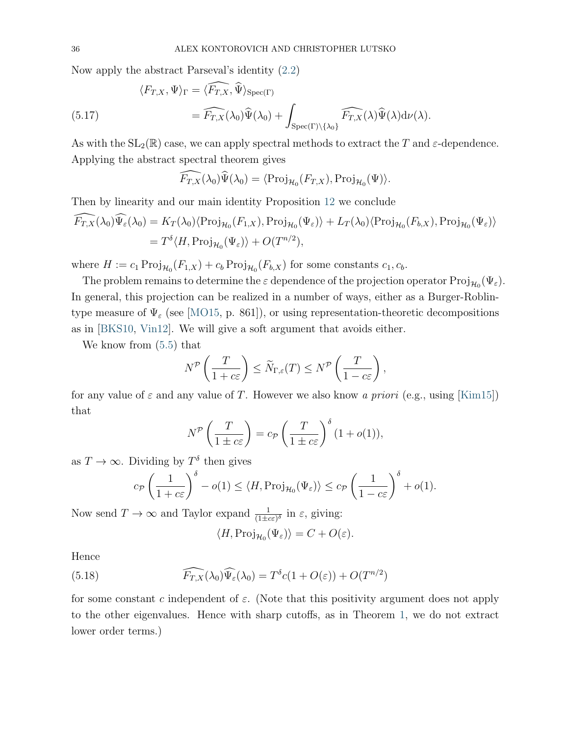Now apply the abstract Parseval's identity [\(2.2\)](#page-6-0)

(5.17) 
$$
\langle F_{T,X}, \Psi \rangle_{\Gamma} = \langle \widehat{F_{T,X}}, \widehat{\Psi} \rangle_{\text{Spec}(\Gamma)}
$$

$$
= \widehat{F_{T,X}}(\lambda_0) \widehat{\Psi}(\lambda_0) + \int_{\text{Spec}(\Gamma) \backslash {\{\lambda_0\}}} \widehat{F_{T,X}}(\lambda) \widehat{\Psi}(\lambda) d\nu(\lambda).
$$

As with the  $SL_2(\mathbb{R})$  case, we can apply spectral methods to extract the T and  $\varepsilon$ -dependence. Applying the abstract spectral theorem gives

$$
\widehat{F_{T,X}}(\lambda_0)\widehat{\Psi}(\lambda_0)=\langle\text{Proj}_{\mathcal{H}_0}(F_{T,X}),\text{Proj}_{\mathcal{H}_0}(\Psi)\rangle.
$$

Then by linearity and our main identity Proposition [12](#page-30-0) we conclude

$$
\begin{split} \widehat{F_{T,X}}(\lambda_0)\widehat{\Psi_{\varepsilon}}(\lambda_0) &= K_T(\lambda_0)\langle \text{Proj}_{\mathcal{H}_0}(F_{1,X}), \text{Proj}_{\mathcal{H}_0}(\Psi_{\varepsilon}) \rangle + L_T(\lambda_0)\langle \text{Proj}_{\mathcal{H}_0}(F_{b,X}), \text{Proj}_{\mathcal{H}_0}(\Psi_{\varepsilon}) \rangle \\ &= T^{\delta} \langle H, \text{Proj}_{\mathcal{H}_0}(\Psi_{\varepsilon}) \rangle + O(T^{n/2}), \end{split}
$$

where  $H := c_1 \operatorname{Proj}_{\mathcal{H}_0}(F_{1,X}) + c_b \operatorname{Proj}_{\mathcal{H}_0}(F_{b,X})$  for some constants  $c_1, c_b$ .

The problem remains to determine the  $\varepsilon$  dependence of the projection operator  $\text{Proj}_{\mathcal{H}_0}(\Psi_{\varepsilon})$ . In general, this projection can be realized in a number of ways, either as a Burger-Roblintype measure of  $\Psi_{\varepsilon}$  (see [\[MO15,](#page-37-5) p. 861]), or using representation-theoretic decompositions as in [\[BKS10,](#page-36-8) [Vin12\]](#page-37-3). We will give a soft argument that avoids either.

We know from [\(5.5\)](#page-28-1) that

$$
N^{\mathcal{P}}\left(\frac{T}{1+c\varepsilon}\right) \leq \widetilde{N}_{\Gamma,\varepsilon}(T) \leq N^{\mathcal{P}}\left(\frac{T}{1-c\varepsilon}\right),
$$

for any value of  $\varepsilon$  and any value of T. However we also know a priori (e.g., using [\[Kim15\]](#page-36-3)) that

$$
N^{\mathcal{P}}\left(\frac{T}{1\pm c\varepsilon}\right) = c_{\mathcal{P}}\left(\frac{T}{1\pm c\varepsilon}\right)^{\delta} (1+o(1)),
$$

as  $T \to \infty$ . Dividing by  $T^{\delta}$  then gives

$$
c_{\mathcal{P}}\left(\frac{1}{1+c\varepsilon}\right)^{\delta} - o(1) \leq \langle H, \text{Proj}_{\mathcal{H}_0}(\Psi_{\varepsilon}) \rangle \leq c_{\mathcal{P}}\left(\frac{1}{1-c\varepsilon}\right)^{\delta} + o(1).
$$

Now send  $T \to \infty$  and Taylor expand  $\frac{1}{(1 \pm c \varepsilon)^{\delta}}$  in  $\varepsilon$ , giving:

$$
\langle H, \text{Proj}_{\mathcal{H}_0}(\Psi_{\varepsilon}) \rangle = C + O(\varepsilon).
$$

Hence

(5.18) 
$$
\widehat{F_{T,X}}(\lambda_0)\widehat{\Psi_{\varepsilon}}(\lambda_0) = T^{\delta}c(1 + O(\varepsilon)) + O(T^{n/2})
$$

for some constant c independent of  $\varepsilon$ . (Note that this positivity argument does not apply to the other eigenvalues. Hence with sharp cutoffs, as in Theorem [1,](#page-1-1) we do not extract lower order terms.)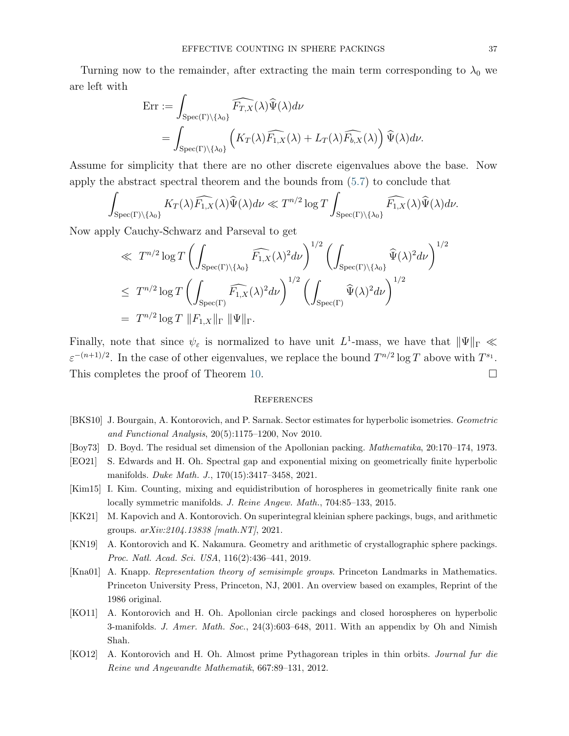Turning now to the remainder, after extracting the main term corresponding to  $\lambda_0$  we are left with

$$
\begin{split} \text{Err} &:= \int_{\text{Spec}(\Gamma)\backslash\{\lambda_0\}} \widehat{F_{T,X}}(\lambda)\widehat{\Psi}(\lambda)d\nu \\ & = \int_{\text{Spec}(\Gamma)\backslash\{\lambda_0\}} \left( K_T(\lambda)\widehat{F_{1,X}}(\lambda) + L_T(\lambda)\widehat{F_{b,X}}(\lambda) \right) \widehat{\Psi}(\lambda)d\nu. \end{split}
$$

Assume for simplicity that there are no other discrete eigenvalues above the base. Now apply the abstract spectral theorem and the bounds from [\(5.7\)](#page-28-2) to conclude that

$$
\int_{\mathrm{Spec}(\Gamma)\backslash\{\lambda_0\}} K_T(\lambda)\widehat{F_{1,X}}(\lambda)\widehat{\Psi}(\lambda)d\nu \ll T^{n/2}\log T \int_{\mathrm{Spec}(\Gamma)\backslash\{\lambda_0\}} \widehat{F_{1,X}}(\lambda)\widehat{\Psi}(\lambda)d\nu.
$$

Now apply Cauchy-Schwarz and Parseval to get

$$
\ll T^{n/2} \log T \left( \int_{\operatorname{Spec}(\Gamma) \backslash \{\lambda_0\}} \widehat{F_{1,X}}(\lambda)^2 d\nu \right)^{1/2} \left( \int_{\operatorname{Spec}(\Gamma) \backslash \{\lambda_0\}} \widehat{\Psi}(\lambda)^2 d\nu \right)^{1/2}
$$
  

$$
\leq T^{n/2} \log T \left( \int_{\operatorname{Spec}(\Gamma)} \widehat{F_{1,X}}(\lambda)^2 d\nu \right)^{1/2} \left( \int_{\operatorname{Spec}(\Gamma)} \widehat{\Psi}(\lambda)^2 d\nu \right)^{1/2}
$$
  

$$
= T^{n/2} \log T \|F_{1,X}\|_{\Gamma} \|\Psi\|_{\Gamma}.
$$

Finally, note that since  $\psi_{\varepsilon}$  is normalized to have unit  $L^1$ -mass, we have that  $\|\Psi\|_{\Gamma} \ll$  $\varepsilon^{-(n+1)/2}$ . In the case of other eigenvalues, we replace the bound  $T^{n/2} \log T$  above with  $T^{s_1}$ . This completes the proof of Theorem [10.](#page-27-0)

#### **REFERENCES**

- <span id="page-36-8"></span>[BKS10] J. Bourgain, A. Kontorovich, and P. Sarnak. Sector estimates for hyperbolic isometries. Geometric and Functional Analysis, 20(5):1175–1200, Nov 2010.
- <span id="page-36-4"></span><span id="page-36-1"></span>[Boy73] D. Boyd. The residual set dimension of the Apollonian packing. Mathematika, 20:170–174, 1973.
- [EO21] S. Edwards and H. Oh. Spectral gap and exponential mixing on geometrically finite hyperbolic manifolds. Duke Math. J., 170(15):3417–3458, 2021.
- <span id="page-36-3"></span>[Kim15] I. Kim. Counting, mixing and equidistribution of horospheres in geometrically finite rank one locally symmetric manifolds. J. Reine Angew. Math., 704:85–133, 2015.
- <span id="page-36-0"></span>[KK21] M. Kapovich and A. Kontorovich. On superintegral kleinian sphere packings, bugs, and arithmetic groups. arXiv:2104.13838 [math.NT], 2021.
- <span id="page-36-6"></span>[KN19] A. Kontorovich and K. Nakamura. Geometry and arithmetic of crystallographic sphere packings. Proc. Natl. Acad. Sci. USA, 116(2):436–441, 2019.
- <span id="page-36-7"></span>[Kna01] A. Knapp. Representation theory of semisimple groups. Princeton Landmarks in Mathematics. Princeton University Press, Princeton, NJ, 2001. An overview based on examples, Reprint of the 1986 original.
- <span id="page-36-2"></span>[KO11] A. Kontorovich and H. Oh. Apollonian circle packings and closed horospheres on hyperbolic 3-manifolds. J. Amer. Math. Soc., 24(3):603–648, 2011. With an appendix by Oh and Nimish Shah.
- <span id="page-36-5"></span>[KO12] A. Kontorovich and H. Oh. Almost prime Pythagorean triples in thin orbits. Journal fur die Reine und Angewandte Mathematik, 667:89–131, 2012.